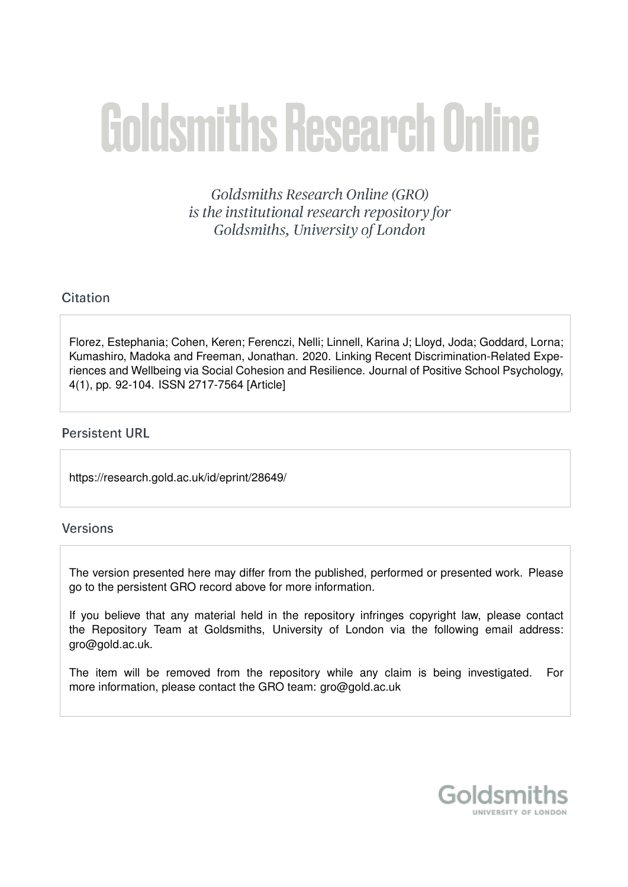# **Goldsmiths Research Online**

Goldsmiths Research Online (GRO) is the institutional research repository for Goldsmiths, University of London

# Citation

Florez, Estephania; Cohen, Keren; Ferenczi, Nelli; Linnell, Karina J; Lloyd, Joda; Goddard, Lorna; Kumashiro, Madoka and Freeman, Jonathan. 2020. Linking Recent Discrimination-Related Experiences and Wellbeing via Social Cohesion and Resilience. Journal of Positive School Psychology, 4(1), pp. 92-104. ISSN 2717-7564 [Article]

## **Persistent URL**

https://research.gold.ac.uk/id/eprint/28649/

# **Versions**

The version presented here may differ from the published, performed or presented work. Please go to the persistent GRO record above for more information.

If you believe that any material held in the repository infringes copyright law, please contact the Repository Team at Goldsmiths, University of London via the following email address: gro@gold.ac.uk.

The item will be removed from the repository while any claim is being investigated. For more information, please contact the GRO team: gro@gold.ac.uk

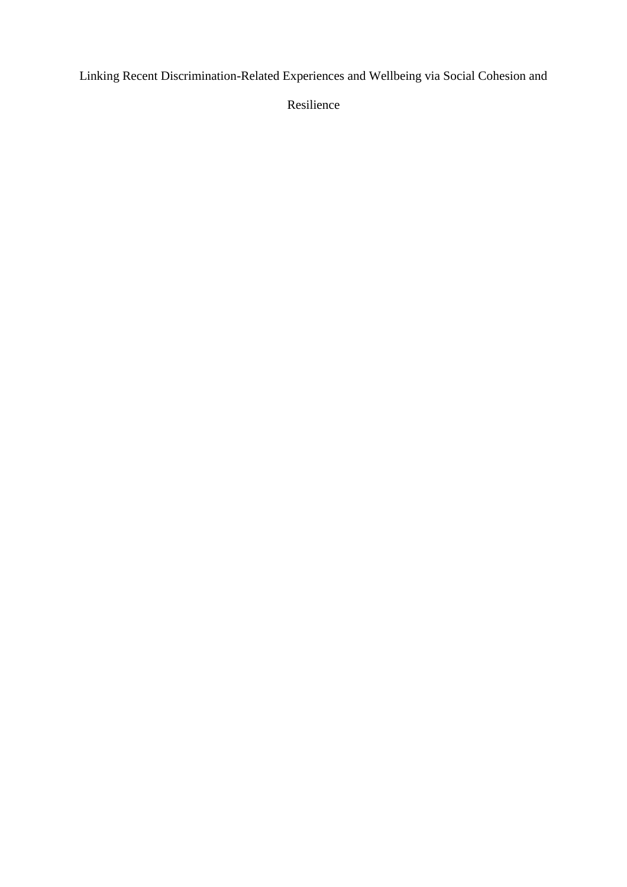Linking Recent Discrimination-Related Experiences and Wellbeing via Social Cohesion and

Resilience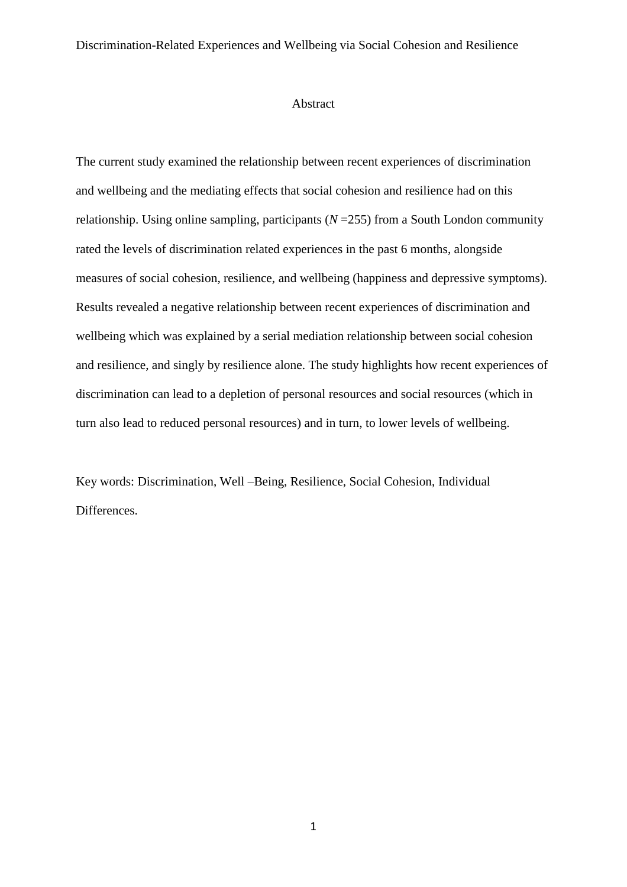#### Abstract

The current study examined the relationship between recent experiences of discrimination and wellbeing and the mediating effects that social cohesion and resilience had on this relationship. Using online sampling, participants (*N* =255) from a South London community rated the levels of discrimination related experiences in the past 6 months, alongside measures of social cohesion, resilience, and wellbeing (happiness and depressive symptoms). Results revealed a negative relationship between recent experiences of discrimination and wellbeing which was explained by a serial mediation relationship between social cohesion and resilience, and singly by resilience alone. The study highlights how recent experiences of discrimination can lead to a depletion of personal resources and social resources (which in turn also lead to reduced personal resources) and in turn, to lower levels of wellbeing.

Key words: Discrimination, Well –Being, Resilience, Social Cohesion, Individual Differences.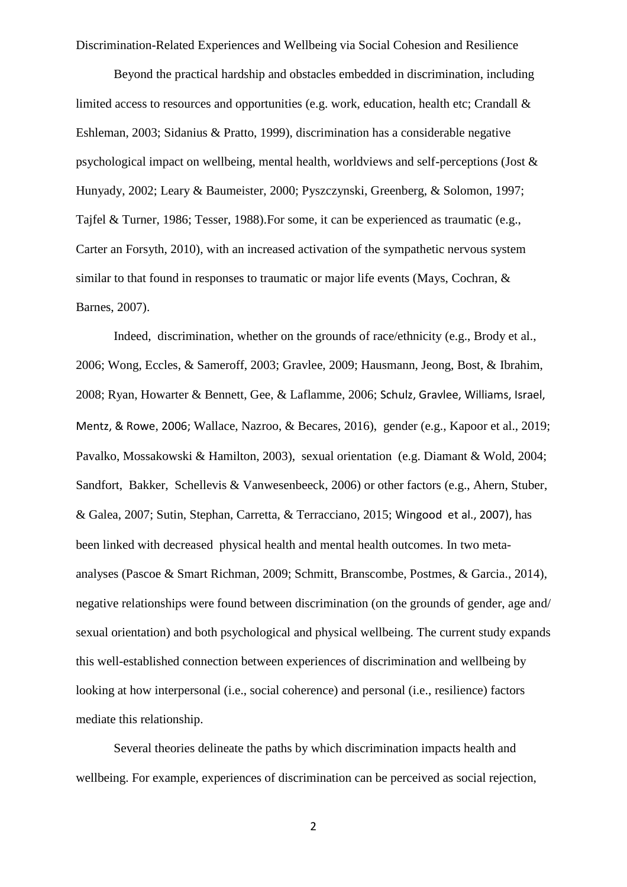Beyond the practical hardship and obstacles embedded in discrimination, including limited access to resources and opportunities (e.g. work, education, health etc; Crandall & Eshleman, 2003; Sidanius & Pratto, 1999), discrimination has a considerable negative psychological impact on wellbeing, mental health, worldviews and self-perceptions (Jost & Hunyady, 2002; Leary & Baumeister, 2000; Pyszczynski, Greenberg, & Solomon, 1997; Tajfel & Turner, 1986; Tesser, 1988).For some, it can be experienced as traumatic (e.g., Carter an Forsyth, 2010), with an increased activation of the sympathetic nervous system similar to that found in responses to traumatic or major life events (Mays, Cochran, & Barnes, 2007).

Indeed, discrimination, whether on the grounds of race/ethnicity (e.g., Brody et al., 2006; Wong, Eccles, & Sameroff, 2003; Gravlee, 2009; Hausmann, Jeong, Bost, & Ibrahim, 2008; Ryan, Howarter & Bennett, Gee, & Laflamme, 2006; Schulz, Gravlee, Williams, Israel, Mentz, & Rowe, 2006; Wallace, Nazroo, & Becares, 2016), gender (e.g., Kapoor et al., 2019; Pavalko, Mossakowski & Hamilton, 2003), sexual orientation (e.g. Diamant & Wold, 2004; Sandfort, Bakker, Schellevis & Vanwesenbeeck, 2006) or other factors (e.g., Ahern, Stuber, & Galea, 2007; Sutin, Stephan, Carretta, & Terracciano, 2015; Wingood et al., 2007), has been linked with decreased physical health and mental health outcomes. In two metaanalyses (Pascoe & Smart Richman, 2009; Schmitt, Branscombe, Postmes, & Garcia., 2014), negative relationships were found between discrimination (on the grounds of gender, age and/ sexual orientation) and both psychological and physical wellbeing. The current study expands this well-established connection between experiences of discrimination and wellbeing by looking at how interpersonal (i.e., social coherence) and personal (i.e., resilience) factors mediate this relationship.

Several theories delineate the paths by which discrimination impacts health and wellbeing. For example, experiences of discrimination can be perceived as social rejection,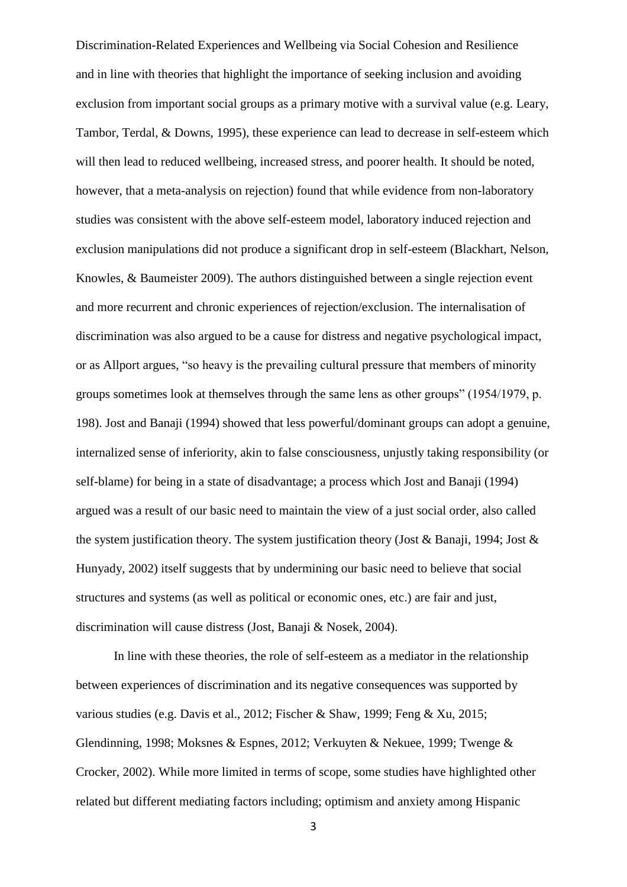Discrimination-Related Experiences and Wellbeing via Social Cohesion and Resilience and in line with theories that highlight the importance of seeking inclusion and avoiding exclusion from important social groups as a primary motive with a survival value (e.g. Leary, Tambor, Terdal, & Downs, 1995), these experience can lead to decrease in self-esteem which will then lead to reduced wellbeing, increased stress, and poorer health. It should be noted, however, that a meta-analysis on rejection) found that while evidence from non-laboratory studies was consistent with the above self-esteem model, laboratory induced rejection and exclusion manipulations did not produce a significant drop in self-esteem (Blackhart, Nelson, Knowles, & Baumeister 2009). The authors distinguished between a single rejection event and more recurrent and chronic experiences of rejection/exclusion. The internalisation of discrimination was also argued to be a cause for distress and negative psychological impact, or as Allport argues, "so heavy is the prevailing cultural pressure that members of minority groups sometimes look at themselves through the same lens as other groups" (1954/1979, p. 198). Jost and Banaji (1994) showed that less powerful/dominant groups can adopt a genuine, internalized sense of inferiority, akin to false consciousness, unjustly taking responsibility (or self-blame) for being in a state of disadvantage; a process which Jost and Banaji (1994) argued was a result of our basic need to maintain the view of a just social order, also called the system justification theory. The system justification theory (Jost & Banaji, 1994; Jost & Hunyady, 2002) itself suggests that by undermining our basic need to believe that social structures and systems (as well as political or economic ones, etc.) are fair and just, discrimination will cause distress (Jost, Banaji & Nosek, 2004).

In line with these theories, the role of self-esteem as a mediator in the relationship between experiences of discrimination and its negative consequences was supported by various studies (e.g. Davis et al., 2012; Fischer & Shaw, 1999; Feng & Xu, 2015; Glendinning, 1998; Moksnes & Espnes, 2012; Verkuyten & Nekuee, 1999; Twenge & Crocker, 2002). While more limited in terms of scope, some studies have highlighted other related but different mediating factors including; optimism and anxiety among Hispanic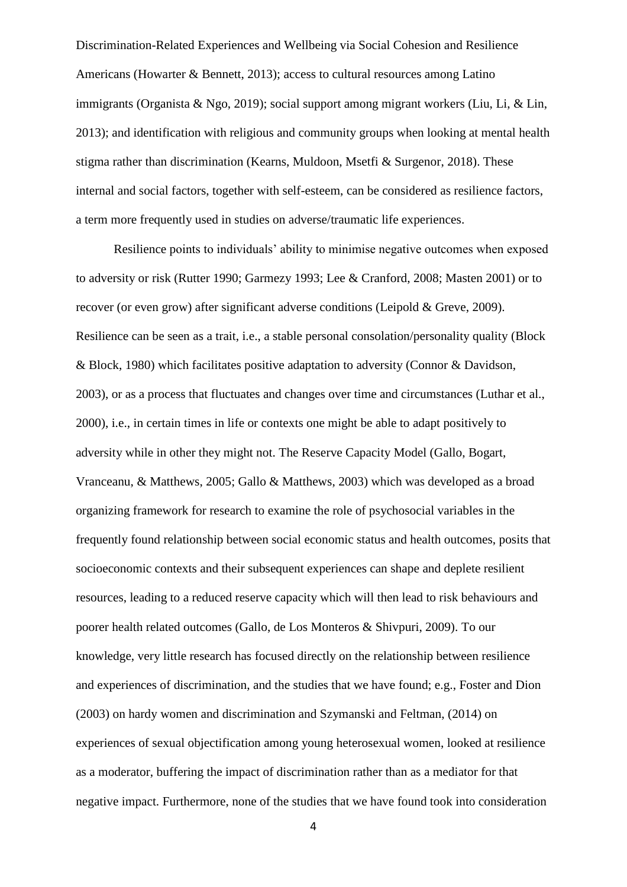Discrimination-Related Experiences and Wellbeing via Social Cohesion and Resilience Americans (Howarter & Bennett, 2013); access to cultural resources among Latino immigrants (Organista & Ngo, 2019); social support among migrant workers (Liu, Li, & Lin, 2013); and identification with religious and community groups when looking at mental health stigma rather than discrimination (Kearns, Muldoon, Msetfi & Surgenor, 2018). These internal and social factors, together with self-esteem, can be considered as resilience factors, a term more frequently used in studies on adverse/traumatic life experiences.

Resilience points to individuals' ability to minimise negative outcomes when exposed to adversity or risk (Rutter 1990; Garmezy 1993; Lee & Cranford, 2008; Masten 2001) or to recover (or even grow) after significant adverse conditions (Leipold & Greve, 2009). Resilience can be seen as a trait, i.e., a stable personal consolation/personality quality (Block & Block, 1980) which facilitates positive adaptation to adversity (Connor & Davidson, 2003), or as a process that fluctuates and changes over time and circumstances (Luthar et al., 2000), i.e., in certain times in life or contexts one might be able to adapt positively to adversity while in other they might not. The Reserve Capacity Model [\(Gallo, Bogart,](https://www.ncbi.nlm.nih.gov/pmc/articles/PMC3243949/#R6)  [Vranceanu, & Matthews, 2005;](https://www.ncbi.nlm.nih.gov/pmc/articles/PMC3243949/#R6) [Gallo & Matthews, 2003\)](https://www.ncbi.nlm.nih.gov/pmc/articles/PMC3243949/#R7) which was developed as a broad organizing framework for research to examine the role of psychosocial variables in the frequently found relationship between social economic status and health outcomes, posits that socioeconomic contexts and their subsequent experiences can shape and deplete resilient resources, leading to a reduced reserve capacity which will then lead to risk behaviours and poorer health related outcomes (Gallo, de Los Monteros & Shivpuri, 2009). To our knowledge, very little research has focused directly on the relationship between resilience and experiences of discrimination, and the studies that we have found; e.g., Foster and Dion (2003) on hardy women and discrimination and Szymanski and Feltman, (2014) on experiences of sexual objectification among young heterosexual women, looked at resilience as a moderator, buffering the impact of discrimination rather than as a mediator for that negative impact. Furthermore, none of the studies that we have found took into consideration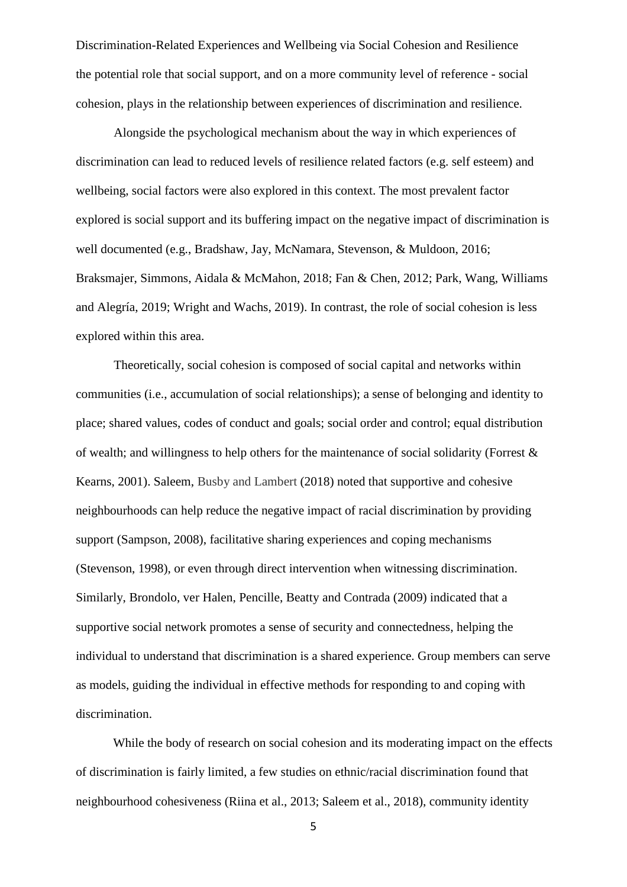Discrimination-Related Experiences and Wellbeing via Social Cohesion and Resilience the potential role that social support, and on a more community level of reference - social cohesion, plays in the relationship between experiences of discrimination and resilience.

Alongside the psychological mechanism about the way in which experiences of discrimination can lead to reduced levels of resilience related factors (e.g. self esteem) and wellbeing, social factors were also explored in this context. The most prevalent factor explored is social support and its buffering impact on the negative impact of discrimination is well documented (e.g., Bradshaw, Jay, McNamara, Stevenson, & Muldoon, 2016; Braksmajer, Simmons, Aidala & McMahon, 2018; Fan & Chen, 2012; Park, Wang, Williams and Alegría, 2019; Wright and Wachs, 2019). In contrast, the role of social cohesion is less explored within this area.

Theoretically, social cohesion is composed of social capital and networks within communities (i.e., accumulation of social relationships); a sense of belonging and identity to place; shared values, codes of conduct and goals; social order and control; equal distribution of wealth; and willingness to help others for the maintenance of social solidarity (Forrest  $\&$ Kearns, 2001). Saleem, Busby and Lambert (2018) noted that supportive and cohesive neighbourhoods can help reduce the negative impact of racial discrimination by providing support (Sampson, 2008), facilitative sharing experiences and coping mechanisms (Stevenson, 1998), or even through direct intervention when witnessing discrimination. Similarly, [Brondolo, ver Halen, Pencille, Beatty](http://web.a.ebscohost.com/ehost/detail/detail?vid=0&sid=a1762dec-0b1c-47db-abda-c391938a5b19%40sdc-v-sessmgr01&bdata=JnNpdGU9ZWhvc3QtbGl2ZQ%3d%3d#c9) and Contrada (2009) indicated that a supportive social network promotes a sense of security and connectedness, helping the individual to understand that discrimination is a shared experience. Group members can serve as models, guiding the individual in effective methods for responding to and coping with discrimination.

While the body of research on social cohesion and its moderating impact on the effects of discrimination is fairly limited, a few studies on ethnic/racial discrimination found that neighbourhood cohesiveness (Riina et al., 2013; Saleem et al., 2018), community identity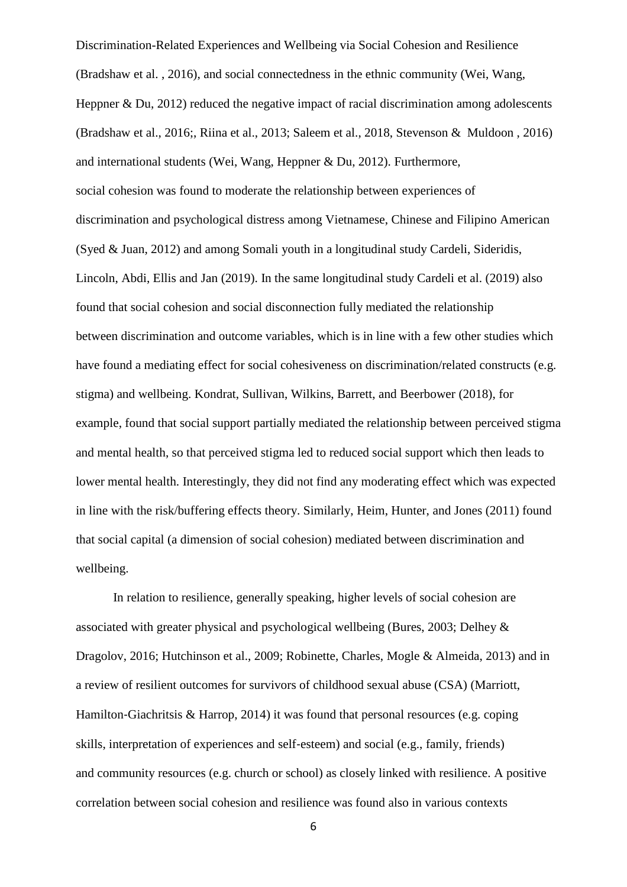Discrimination-Related Experiences and Wellbeing via Social Cohesion and Resilience (Bradshaw et al. , 2016), and social connectedness in the ethnic community (Wei, Wang, Heppner & Du, 2012) reduced the negative impact of racial discrimination among adolescents (Bradshaw et al., 2016;, Riina et al., 2013; Saleem et al., 2018, Stevenson & Muldoon , 2016) and international students (Wei, Wang, Heppner & Du, 2012). Furthermore, social cohesion was found to moderate the relationship between experiences of discrimination and psychological distress among Vietnamese, Chinese and Filipino American (Syed & Juan, 2012) and among Somali youth in a longitudinal study Cardeli, Sideridis, Lincoln, Abdi, Ellis and Jan (2019). In the same longitudinal study Cardeli et al. (2019) also found that social cohesion and social disconnection fully mediated the relationship between discrimination and outcome variables, which is in line with a few other studies which have found a mediating effect for social cohesiveness on discrimination/related constructs (e.g. stigma) and wellbeing. Kondrat, Sullivan, Wilkins, Barrett, and Beerbower (2018), for example, found that social support partially mediated the relationship between perceived stigma and mental health, so that perceived stigma led to reduced social support which then leads to lower mental health. Interestingly, they did not find any moderating effect which was expected in line with the risk/buffering effects theory. Similarly, Heim, Hunter, and Jones (2011) found that social capital (a dimension of social cohesion) mediated between discrimination and wellbeing.

In relation to resilience, generally speaking, higher levels of social cohesion are associated with greater physical and psychological wellbeing (Bures, 2003; Delhey & Dragolov, 2016; Hutchinson et al., 2009; Robinette, Charles, Mogle & Almeida, 2013) and in a review of resilient outcomes for survivors of childhood sexual abuse (CSA) (Marriott, Hamilton-Giachritsis & Harrop, 2014) it was found that personal resources (e.g. coping skills, interpretation of experiences and self‐esteem) and social (e.g., family, friends) and community resources (e.g. church or school) as closely linked with resilience. A positive correlation between social cohesion and resilience was found also in various contexts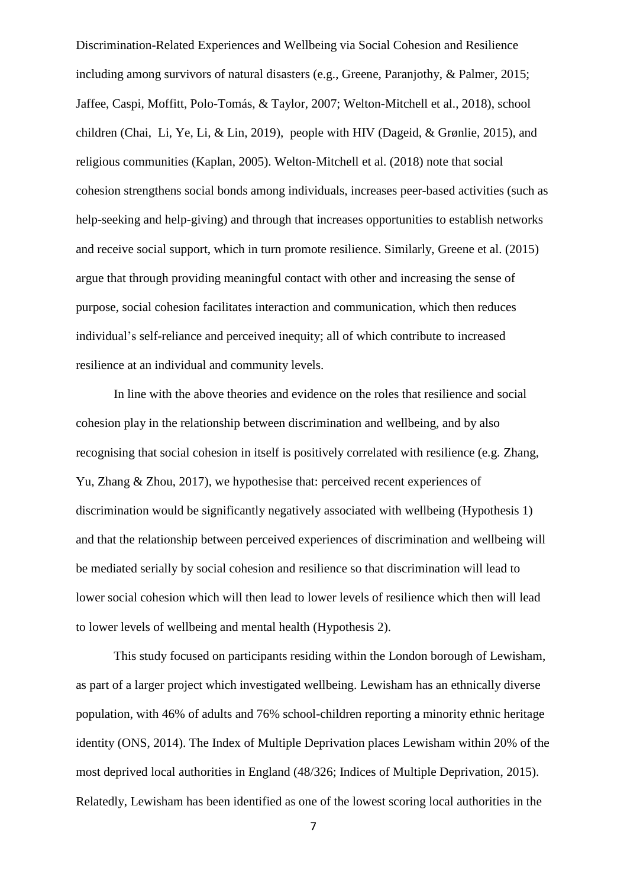Discrimination-Related Experiences and Wellbeing via Social Cohesion and Resilience including among survivors of natural disasters (e.g., Greene, Paranjothy, & Palmer, 2015; Jaffee, Caspi, Moffitt, Polo-Tomás, & Taylor, 2007; Welton-Mitchell et al., 2018), school children (Chai, Li, Ye, Li, & Lin, 2019), people with HIV (Dageid, & Grønlie, 2015), and religious communities (Kaplan, 2005). Welton-Mitchell et al. (2018) note that social cohesion strengthens social bonds among individuals, increases peer-based activities (such as help-seeking and help-giving) and through that increases opportunities to establish networks and receive social support, which in turn promote resilience. Similarly, Greene et al. (2015) argue that through providing meaningful contact with other and increasing the sense of purpose, social cohesion facilitates interaction and communication, which then reduces individual's self-reliance and perceived inequity; all of which contribute to increased resilience at an individual and community levels.

In line with the above theories and evidence on the roles that resilience and social cohesion play in the relationship between discrimination and wellbeing, and by also recognising that social cohesion in itself is positively correlated with resilience (e.g. Zhang, Yu, Zhang & Zhou, 2017), we hypothesise that: perceived recent experiences of discrimination would be significantly negatively associated with wellbeing (Hypothesis 1) and that the relationship between perceived experiences of discrimination and wellbeing will be mediated serially by social cohesion and resilience so that discrimination will lead to lower social cohesion which will then lead to lower levels of resilience which then will lead to lower levels of wellbeing and mental health (Hypothesis 2).

This study focused on participants residing within the London borough of Lewisham, as part of a larger project which investigated wellbeing. Lewisham has an ethnically diverse population, with 46% of adults and 76% school-children reporting a minority ethnic heritage identity (ONS, 2014). The Index of Multiple Deprivation places Lewisham within 20% of the most deprived local authorities in England (48/326; Indices of Multiple Deprivation, 2015). Relatedly, Lewisham has been identified as one of the lowest scoring local authorities in the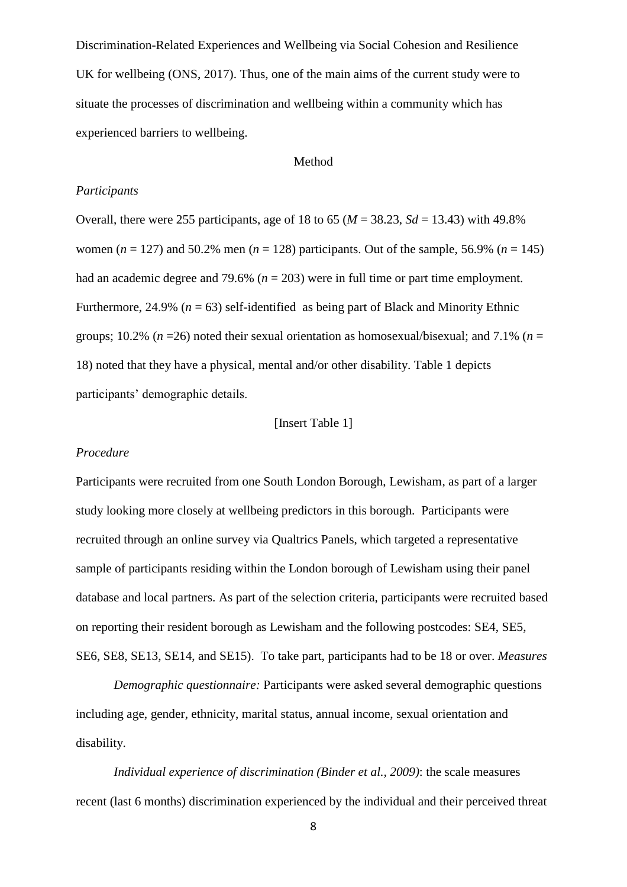Discrimination-Related Experiences and Wellbeing via Social Cohesion and Resilience UK for wellbeing (ONS, 2017). Thus, one of the main aims of the current study were to situate the processes of discrimination and wellbeing within a community which has experienced barriers to wellbeing.

#### Method

#### *Participants*

Overall, there were 255 participants, age of 18 to 65 ( $M = 38.23$ ,  $Sd = 13.43$ ) with 49.8% women ( $n = 127$ ) and 50.2% men ( $n = 128$ ) participants. Out of the sample, 56.9% ( $n = 145$ ) had an academic degree and 79.6% (*n* = 203) were in full time or part time employment. Furthermore, 24.9% ( $n = 63$ ) self-identified as being part of Black and Minority Ethnic groups; 10.2% ( $n = 26$ ) noted their sexual orientation as homosexual/bisexual; and 7.1% ( $n =$ 18) noted that they have a physical, mental and/or other disability. Table 1 depicts participants' demographic details.

#### [Insert Table 1]

#### *Procedure*

Participants were recruited from one South London Borough, Lewisham, as part of a larger study looking more closely at wellbeing predictors in this borough. Participants were recruited through an online survey via Qualtrics Panels, which targeted a representative sample of participants residing within the London borough of Lewisham using their panel database and local partners. As part of the selection criteria, participants were recruited based on reporting their resident borough as Lewisham and the following postcodes: SE4, SE5, SE6, SE8, SE13, SE14, and SE15). To take part, participants had to be 18 or over. *Measures*

*Demographic questionnaire:* Participants were asked several demographic questions including age, gender, ethnicity, marital status, annual income, sexual orientation and disability.

*Individual experience of discrimination (Binder et al., 2009)*: the scale measures recent (last 6 months) discrimination experienced by the individual and their perceived threat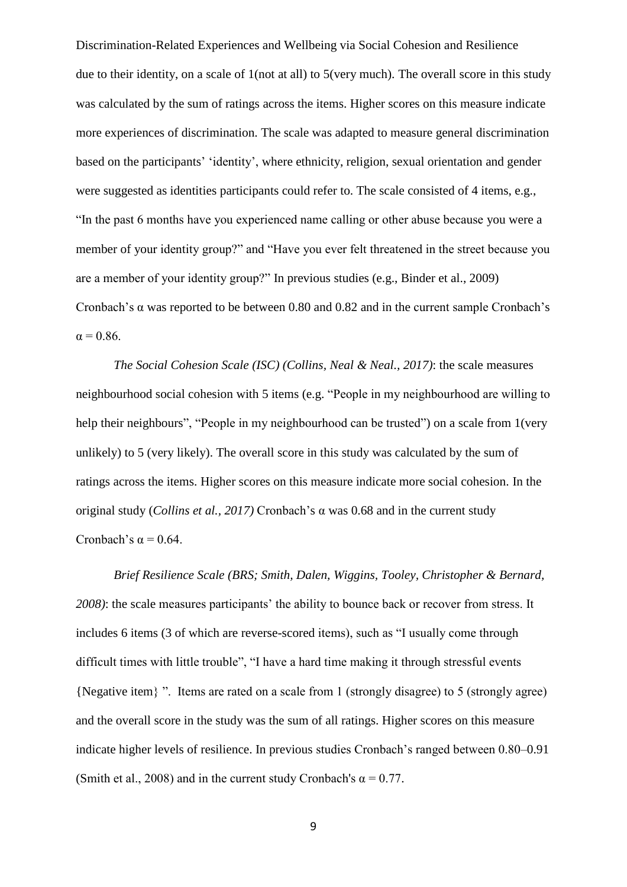Discrimination-Related Experiences and Wellbeing via Social Cohesion and Resilience due to their identity, on a scale of 1(not at all) to 5(very much). The overall score in this study was calculated by the sum of ratings across the items. Higher scores on this measure indicate more experiences of discrimination. The scale was adapted to measure general discrimination based on the participants' 'identity', where ethnicity, religion, sexual orientation and gender were suggested as identities participants could refer to. The scale consisted of 4 items, e.g., "In the past 6 months have you experienced name calling or other abuse because you were a member of your identity group?" and "Have you ever felt threatened in the street because you are a member of your identity group?" In previous studies (e.g., Binder et al., 2009) Cronbach's α was reported to be between 0.80 and 0.82 and in the current sample Cronbach's  $\alpha$  = 0.86.

*The Social Cohesion Scale (ISC) (Collins, Neal & Neal., 2017)*: the scale measures neighbourhood social cohesion with 5 items (e.g. "People in my neighbourhood are willing to help their neighbours", "People in my neighbourhood can be trusted") on a scale from 1 (very unlikely) to 5 (very likely). The overall score in this study was calculated by the sum of ratings across the items. Higher scores on this measure indicate more social cohesion. In the original study (*Collins et al., 2017)* Cronbach's α was 0.68 and in the current study Cronbach's  $\alpha$  = 0.64.

*Brief Resilience Scale (BRS; Smith, Dalen, Wiggins, Tooley, Christopher & Bernard, 2008)*: the scale measures participants' the ability to bounce back or recover from stress. It includes 6 items (3 of which are reverse-scored items), such as "I usually come through difficult times with little trouble", "I have a hard time making it through stressful events {Negative item} ". Items are rated on a scale from 1 (strongly disagree) to 5 (strongly agree) and the overall score in the study was the sum of all ratings. Higher scores on this measure indicate higher levels of resilience. In previous studies Cronbach's ranged between 0.80–0.91 (Smith et al., 2008) and in the current study Cronbach's  $\alpha = 0.77$ .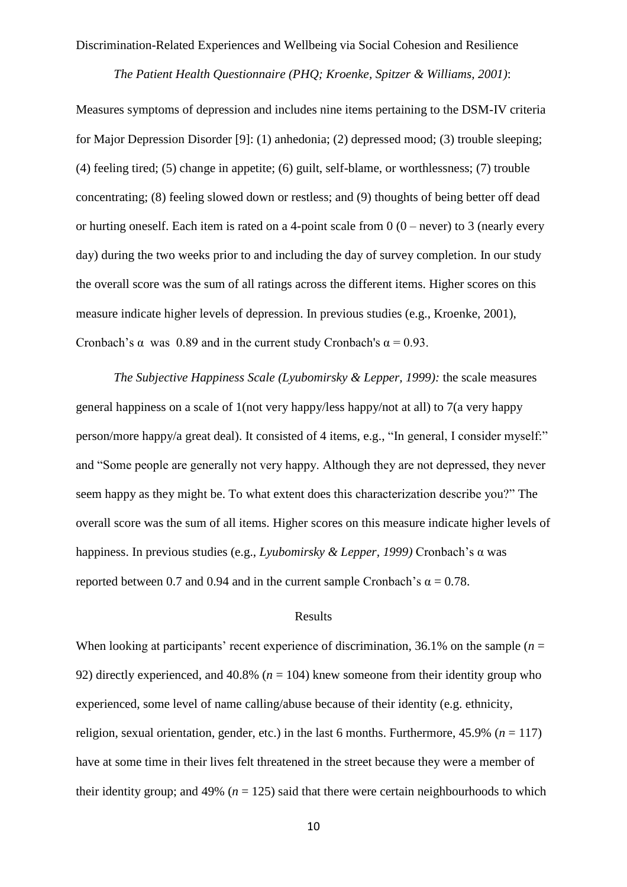#### *The Patient Health Questionnaire (PHQ; Kroenke, Spitzer & Williams, 2001)*:

Measures symptoms of depression and includes nine items pertaining to the DSM-IV criteria for Major Depression Disorder [\[9\]](https://thejournalofheadacheandpain.biomedcentral.com/articles/10.1186/s10194-015-0552-2#ref-CR9): (1) anhedonia; (2) depressed mood; (3) trouble sleeping; (4) feeling tired; (5) change in appetite; (6) guilt, self-blame, or worthlessness; (7) trouble concentrating; (8) feeling slowed down or restless; and (9) thoughts of being better off dead or hurting oneself. Each item is rated on a 4-point scale from  $0$  ( $0$  – never) to 3 (nearly every day) during the two weeks prior to and including the day of survey completion. In our study the overall score was the sum of all ratings across the different items. Higher scores on this measure indicate higher levels of depression. In previous studies (e.g., Kroenke, 2001), Cronbach's  $\alpha$  was 0.89 and in the current study Cronbach's  $\alpha = 0.93$ .

*The Subjective Happiness Scale (Lyubomirsky & Lepper, 1999):* the scale measures general happiness on a scale of 1(not very happy/less happy/not at all) to 7(a very happy person/more happy/a great deal). It consisted of 4 items, e.g., "In general, I consider myself:" and "Some people are generally not very happy. Although they are not depressed, they never seem happy as they might be. To what extent does this characterization describe you?" The overall score was the sum of all items. Higher scores on this measure indicate higher levels of happiness. In previous studies (e.g., *Lyubomirsky & Lepper, 1999)* Cronbach's α was reported between 0.7 and 0.94 and in the current sample Cronbach's  $\alpha = 0.78$ .

#### Results

When looking at participants' recent experience of discrimination,  $36.1\%$  on the sample ( $n =$ 92) directly experienced, and  $40.8\%$  ( $n = 104$ ) knew someone from their identity group who experienced, some level of name calling/abuse because of their identity (e.g. ethnicity, religion, sexual orientation, gender, etc.) in the last 6 months. Furthermore,  $45.9\%$  ( $n = 117$ ) have at some time in their lives felt threatened in the street because they were a member of their identity group; and 49% ( $n = 125$ ) said that there were certain neighbourhoods to which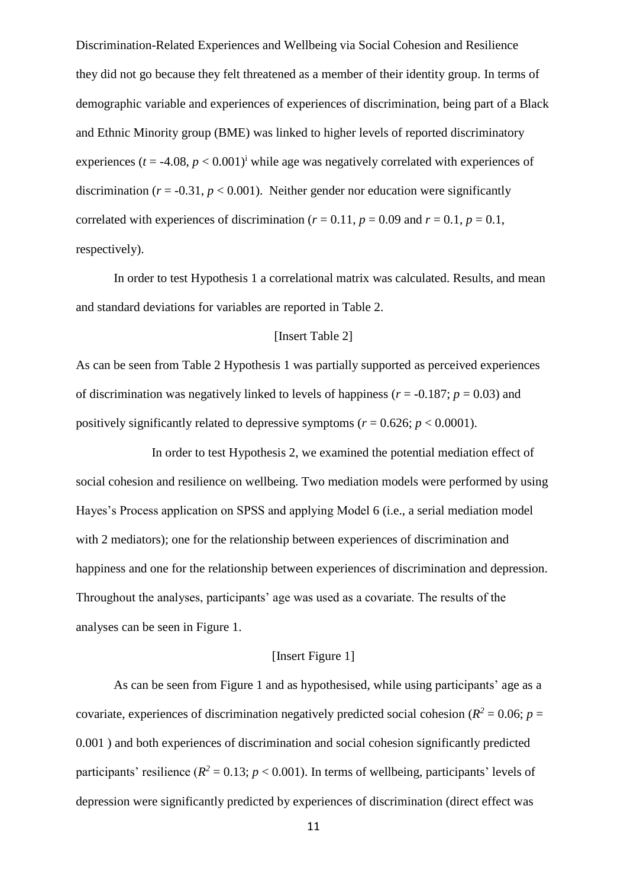Discrimination-Related Experiences and Wellbeing via Social Cohesion and Resilience they did not go because they felt threatened as a member of their identity group. In terms of demographic variable and experiences of experiences of discrimination, being part of a Black and Ethnic Minority group (BME) was linked to higher levels of reported discriminatory experiences ( $t = -4.08$ ,  $p < 0.001$ )<sup>i</sup> while age was negatively correlated with experiences of discrimination ( $r = -0.31$ ,  $p < 0.001$ ). Neither gender nor education were significantly correlated with experiences of discrimination ( $r = 0.11$ ,  $p = 0.09$  and  $r = 0.1$ ,  $p = 0.1$ , respectively).

In order to test Hypothesis 1 a correlational matrix was calculated. Results, and mean and standard deviations for variables are reported in Table 2.

## [Insert Table 2]

As can be seen from Table 2 Hypothesis 1 was partially supported as perceived experiences of discrimination was negatively linked to levels of happiness ( $r = -0.187$ ;  $p = 0.03$ ) and positively significantly related to depressive symptoms ( $r = 0.626$ ;  $p < 0.0001$ ).

In order to test Hypothesis 2, we examined the potential mediation effect of social cohesion and resilience on wellbeing. Two mediation models were performed by using Hayes's Process application on SPSS and applying Model 6 (i.e., a serial mediation model with 2 mediators); one for the relationship between experiences of discrimination and happiness and one for the relationship between experiences of discrimination and depression. Throughout the analyses, participants' age was used as a covariate. The results of the analyses can be seen in Figure 1.

## [Insert Figure 1]

As can be seen from Figure 1 and as hypothesised, while using participants' age as a covariate, experiences of discrimination negatively predicted social cohesion ( $R^2 = 0.06$ ;  $p =$ 0.001 ) and both experiences of discrimination and social cohesion significantly predicted participants' resilience ( $R^2 = 0.13$ ;  $p < 0.001$ ). In terms of wellbeing, participants' levels of depression were significantly predicted by experiences of discrimination (direct effect was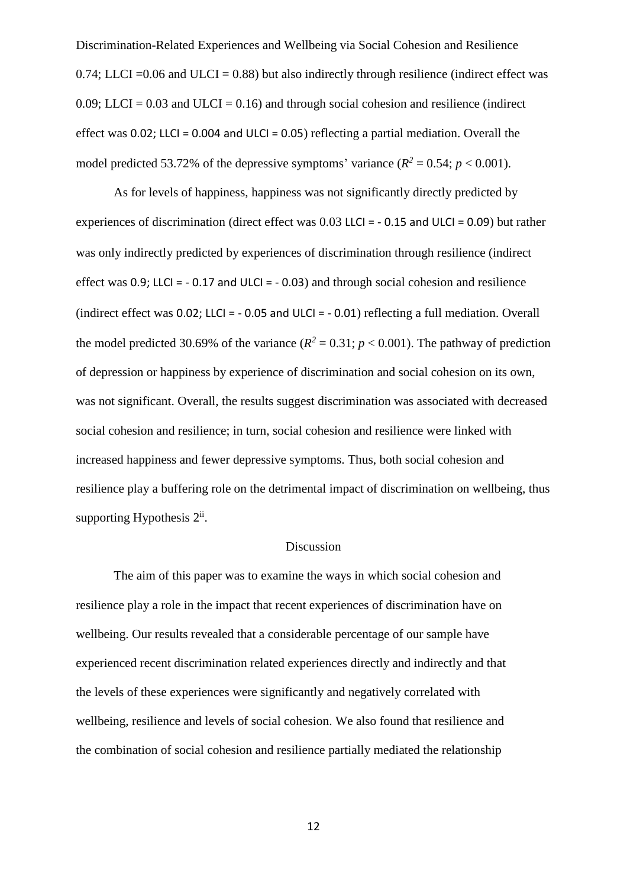Discrimination-Related Experiences and Wellbeing via Social Cohesion and Resilience 0.74; LLCI =  $0.06$  and ULCI = 0.88) but also indirectly through resilience (indirect effect was 0.09; LLCI = 0.03 and ULCI = 0.16) and through social cohesion and resilience (indirect effect was 0.02; LLCI = 0.004 and ULCI = 0.05) reflecting a partial mediation. Overall the model predicted 53.72% of the depressive symptoms' variance  $(R^2 = 0.54; p < 0.001)$ .

As for levels of happiness, happiness was not significantly directly predicted by experiences of discrimination (direct effect was 0.03 LLCI = - 0.15 and ULCI = 0.09) but rather was only indirectly predicted by experiences of discrimination through resilience (indirect effect was  $0.9$ ; LLCI =  $-0.17$  and ULCI =  $-0.03$ ) and through social cohesion and resilience (indirect effect was 0.02; LLCI = - 0.05 and ULCI = - 0.01) reflecting a full mediation. Overall the model predicted 30.69% of the variance  $(R^2 = 0.31; p < 0.001)$ . The pathway of prediction of depression or happiness by experience of discrimination and social cohesion on its own, was not significant. Overall, the results suggest discrimination was associated with decreased social cohesion and resilience; in turn, social cohesion and resilience were linked with increased happiness and fewer depressive symptoms. Thus, both social cohesion and resilience play a buffering role on the detrimental impact of discrimination on wellbeing, thus supporting Hypothesis  $2^{ii}$ .

#### Discussion

The aim of this paper was to examine the ways in which social cohesion and resilience play a role in the impact that recent experiences of discrimination have on wellbeing. Our results revealed that a considerable percentage of our sample have experienced recent discrimination related experiences directly and indirectly and that the levels of these experiences were significantly and negatively correlated with wellbeing, resilience and levels of social cohesion. We also found that resilience and the combination of social cohesion and resilience partially mediated the relationship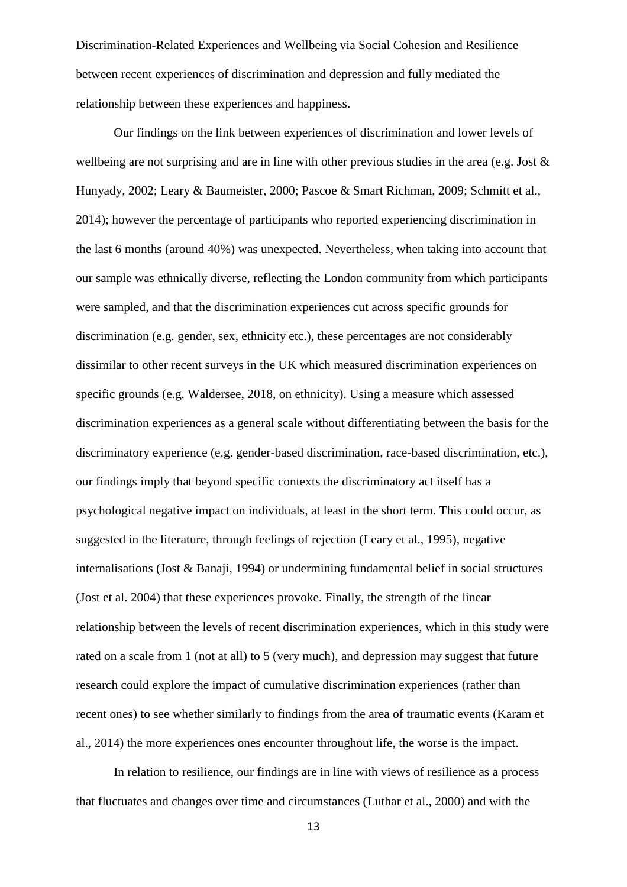Discrimination-Related Experiences and Wellbeing via Social Cohesion and Resilience between recent experiences of discrimination and depression and fully mediated the relationship between these experiences and happiness.

Our findings on the link between experiences of discrimination and lower levels of wellbeing are not surprising and are in line with other previous studies in the area (e.g. Jost & Hunyady, 2002; Leary & Baumeister, 2000; Pascoe & Smart Richman, 2009; Schmitt et al., 2014); however the percentage of participants who reported experiencing discrimination in the last 6 months (around 40%) was unexpected. Nevertheless, when taking into account that our sample was ethnically diverse, reflecting the London community from which participants were sampled, and that the discrimination experiences cut across specific grounds for discrimination (e.g. gender, sex, ethnicity etc.), these percentages are not considerably dissimilar to other recent surveys in the UK which measured discrimination experiences on specific grounds (e.g. [Waldersee,](https://yougov.co.uk/people/victoria.waldersee/) 2018, on ethnicity). Using a measure which assessed discrimination experiences as a general scale without differentiating between the basis for the discriminatory experience (e.g. gender-based discrimination, race-based discrimination, etc.), our findings imply that beyond specific contexts the discriminatory act itself has a psychological negative impact on individuals, at least in the short term. This could occur, as suggested in the literature, through feelings of rejection (Leary et al., 1995), negative internalisations (Jost & Banaji, 1994) or undermining fundamental belief in social structures (Jost et al. 2004) that these experiences provoke. Finally, the strength of the linear relationship between the levels of recent discrimination experiences, which in this study were rated on a scale from 1 (not at all) to 5 (very much), and depression may suggest that future research could explore the impact of cumulative discrimination experiences (rather than recent ones) to see whether similarly to findings from the area of traumatic events (Karam et al., 2014) the more experiences ones encounter throughout life, the worse is the impact.

In relation to resilience, our findings are in line with views of resilience as a process that fluctuates and changes over time and circumstances (Luthar et al., 2000) and with the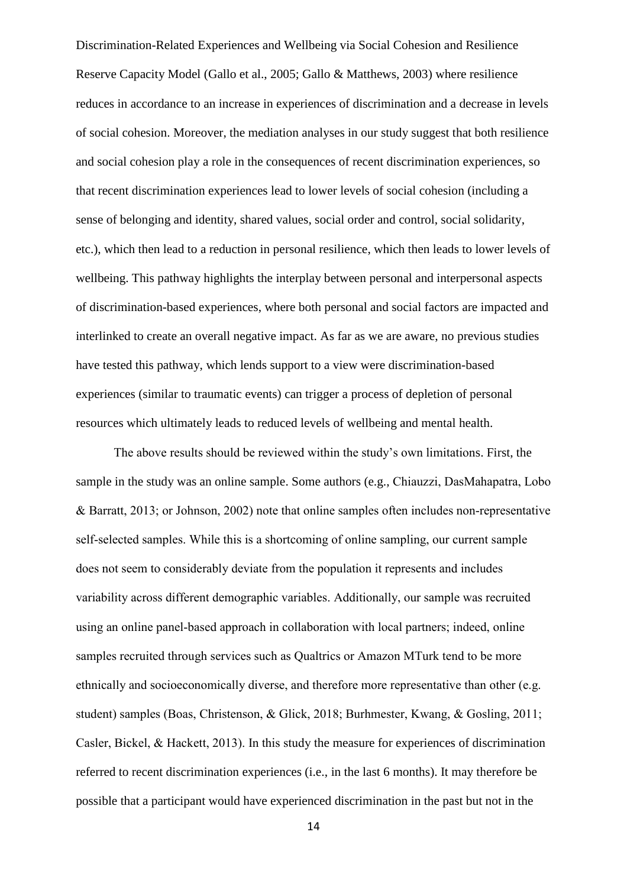Discrimination-Related Experiences and Wellbeing via Social Cohesion and Resilience Reserve Capacity Model [\(Gallo et al., 2005;](https://www.ncbi.nlm.nih.gov/pmc/articles/PMC3243949/#R6) [Gallo & Matthews, 2003\)](https://www.ncbi.nlm.nih.gov/pmc/articles/PMC3243949/#R7) where resilience reduces in accordance to an increase in experiences of discrimination and a decrease in levels of social cohesion. Moreover, the mediation analyses in our study suggest that both resilience and social cohesion play a role in the consequences of recent discrimination experiences, so that recent discrimination experiences lead to lower levels of social cohesion (including a sense of belonging and identity, shared values, social order and control, social solidarity, etc.), which then lead to a reduction in personal resilience, which then leads to lower levels of wellbeing. This pathway highlights the interplay between personal and interpersonal aspects of discrimination-based experiences, where both personal and social factors are impacted and interlinked to create an overall negative impact. As far as we are aware, no previous studies have tested this pathway, which lends support to a view were discrimination-based experiences (similar to traumatic events) can trigger a process of depletion of personal resources which ultimately leads to reduced levels of wellbeing and mental health.

The above results should be reviewed within the study's own limitations. First, the sample in the study was an online sample. Some authors (e.g., Chiauzzi, DasMahapatra, Lobo & Barratt, 2013; or Johnson, 2002) note that online samples often includes non-representative self-selected samples. While this is a shortcoming of online sampling, our current sample does not seem to considerably deviate from the population it represents and includes variability across different demographic variables. Additionally, our sample was recruited using an online panel-based approach in collaboration with local partners; indeed, online samples recruited through services such as Qualtrics or Amazon MTurk tend to be more ethnically and socioeconomically diverse, and therefore more representative than other (e.g. student) samples (Boas, Christenson, & Glick, 2018; Burhmester, Kwang, & Gosling, 2011; Casler, Bickel, & Hackett, 2013). In this study the measure for experiences of discrimination referred to recent discrimination experiences (i.e., in the last 6 months). It may therefore be possible that a participant would have experienced discrimination in the past but not in the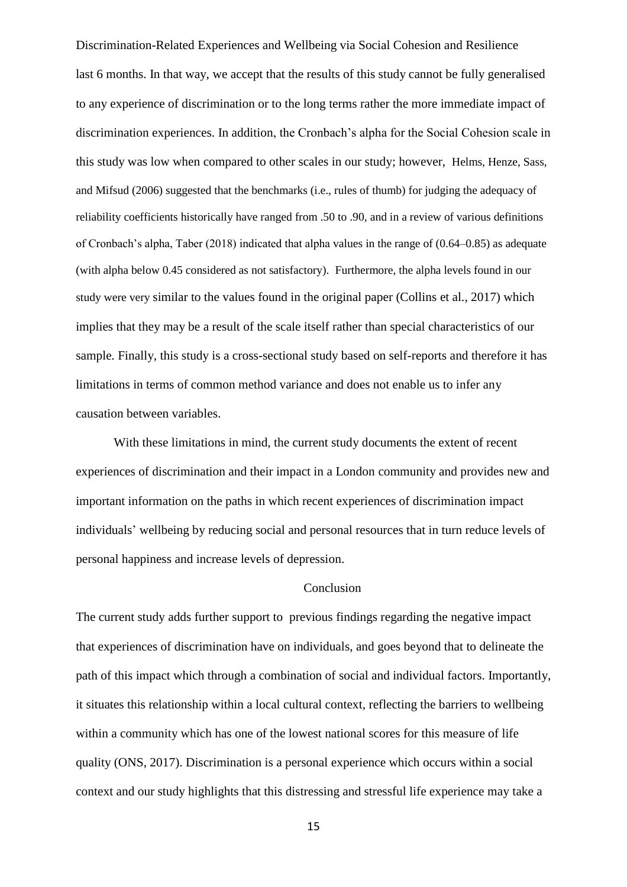Discrimination-Related Experiences and Wellbeing via Social Cohesion and Resilience last 6 months. In that way, we accept that the results of this study cannot be fully generalised to any experience of discrimination or to the long terms rather the more immediate impact of discrimination experiences. In addition, the Cronbach's alpha for the Social Cohesion scale in this study was low when compared to other scales in our study; however, Helms, Henze, Sass, and Mifsud (2006) suggested that the benchmarks (i.e., rules of thumb) for judging the adequacy of reliability coefficients historically have ranged from .50 to .90, and in a review of various definitions of Cronbach's alpha, Taber (2018) indicated that alpha values in the range of (0.64–0.85) as adequate (with alpha below 0.45 considered as not satisfactory). Furthermore, the alpha levels found in our study were very similar to the values found in the original paper (Collins et al., 2017) which implies that they may be a result of the scale itself rather than special characteristics of our sample*.* Finally, this study is a cross-sectional study based on self-reports and therefore it has limitations in terms of common method variance and does not enable us to infer any causation between variables.

With these limitations in mind, the current study documents the extent of recent experiences of discrimination and their impact in a London community and provides new and important information on the paths in which recent experiences of discrimination impact individuals' wellbeing by reducing social and personal resources that in turn reduce levels of personal happiness and increase levels of depression.

#### Conclusion

The current study adds further support to previous findings regarding the negative impact that experiences of discrimination have on individuals, and goes beyond that to delineate the path of this impact which through a combination of social and individual factors. Importantly, it situates this relationship within a local cultural context, reflecting the barriers to wellbeing within a community which has one of the lowest national scores for this measure of life quality (ONS, 2017). Discrimination is a personal experience which occurs within a social context and our study highlights that this distressing and stressful life experience may take a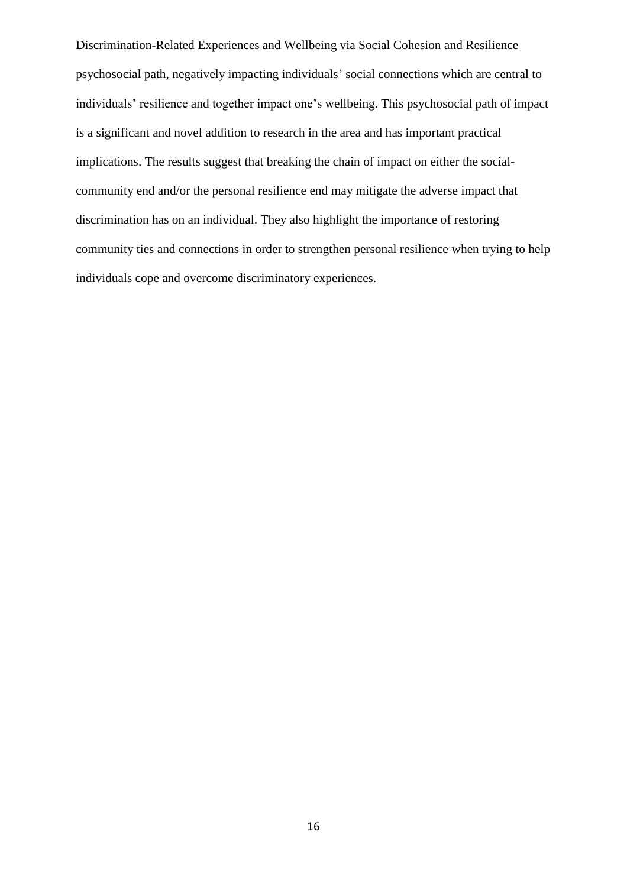Discrimination-Related Experiences and Wellbeing via Social Cohesion and Resilience psychosocial path, negatively impacting individuals' social connections which are central to individuals' resilience and together impact one's wellbeing. This psychosocial path of impact is a significant and novel addition to research in the area and has important practical implications. The results suggest that breaking the chain of impact on either the socialcommunity end and/or the personal resilience end may mitigate the adverse impact that discrimination has on an individual. They also highlight the importance of restoring community ties and connections in order to strengthen personal resilience when trying to help individuals cope and overcome discriminatory experiences.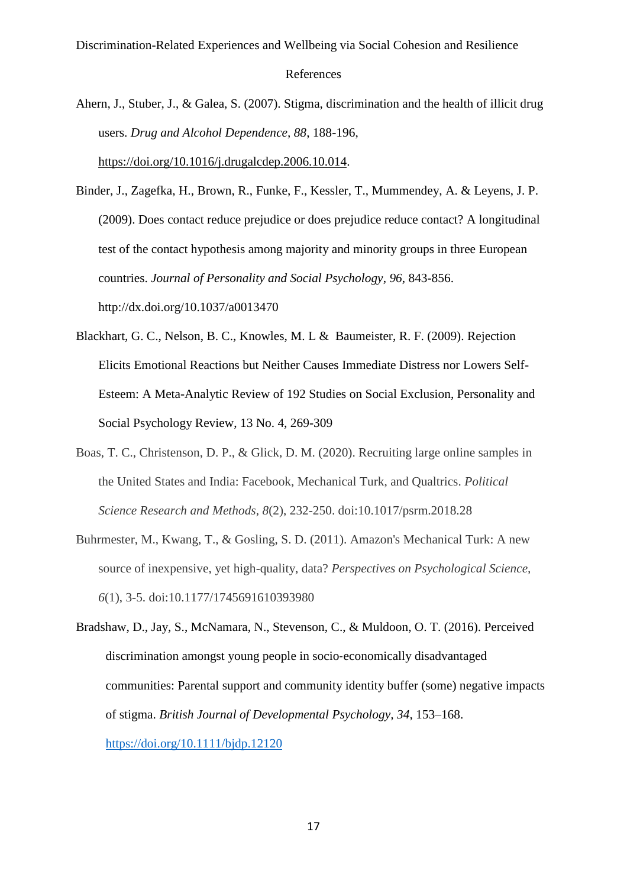Ahern, J., Stuber, J., & Galea, S. (2007). Stigma, discrimination and the health of illicit drug users. *Drug and Alcohol Dependence, 88*, 188-196,

[https://doi.org/10.1016/j.drugalcdep.2006.10.014.](https://doi.org/10.1016/j.drugalcdep.2006.10.014)

- Binder, J., Zagefka, H., Brown, R., Funke, F., Kessler, T., Mummendey, A. & Leyens, J. P. (2009). Does contact reduce prejudice or does prejudice reduce contact? A longitudinal test of the contact hypothesis among majority and minority groups in three European countries. *Journal of Personality and Social Psychology*, *96*, 843-856. <http://dx.doi.org/10.1037/a0013470>
- Blackhart, G. C., Nelson, B. C., Knowles, M. L & Baumeister, R. F. (2009). Rejection Elicits Emotional Reactions but Neither Causes Immediate Distress nor Lowers Self-Esteem: A Meta-Analytic Review of 192 Studies on Social Exclusion, Personality and Social Psychology Review, 13 No. 4, 269-309
- Boas, T. C., Christenson, D. P., & Glick, D. M. (2020). Recruiting large online samples in the United States and India: Facebook, Mechanical Turk, and Qualtrics. *Political Science Research and Methods, 8*(2), 232-250. doi:10.1017/psrm.2018.28
- Buhrmester, M., Kwang, T., & Gosling, S. D. (2011). Amazon's Mechanical Turk: A new source of inexpensive, yet high-quality, data? *Perspectives on Psychological Science, 6*(1), 3-5. doi:10.1177/1745691610393980
- Bradshaw, D., Jay, S., McNamara, N., Stevenson, C., & Muldoon, O. T. (2016). Perceived discrimination amongst young people in socio‐economically disadvantaged communities: Parental support and community identity buffer (some) negative impacts of stigma. *British Journal of Developmental Psychology, 34*, 153–168. <https://doi.org/10.1111/bjdp.12120>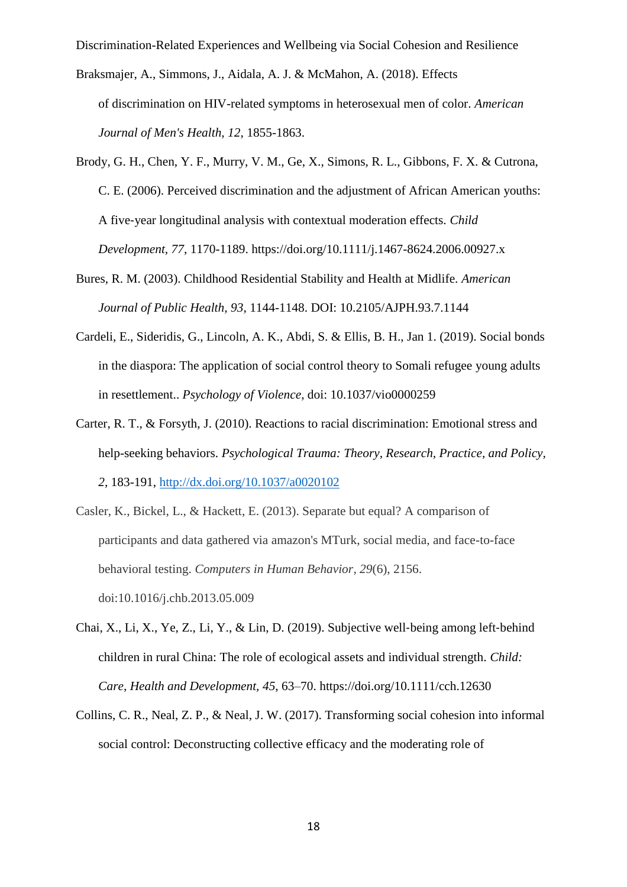- Braksmajer, A., Simmons, J., Aidala, A. J. & McMahon, A. (2018). Effects of discrimination on HIV-related symptoms in heterosexual men of color. *American Journal of Men's Health, 12*, 1855-1863.
- Brody, G. H., Chen, Y. F., Murry, V. M., Ge, X., Simons, R. L., Gibbons, F. X. & Cutrona, C. E. (2006). Perceived discrimination and the adjustment of African American youths: A five‐year longitudinal analysis with contextual moderation effects. *Child Development, 77*, 1170-1189.<https://doi.org/10.1111/j.1467-8624.2006.00927.x>
- Bures, R. M. (2003). Childhood Residential Stability and Health at Midlife. *American Journal of Public Health, 93*, 1144-1148. DOI: 10.2105/AJPH.93.7.1144
- Cardeli, E., Sideridis, G., Lincoln, A. K., Abdi, S. & Ellis, B. H., Jan 1. (2019). [Social](http://web.a.ebscohost.com/ehost/viewarticle/render?data=dGJyMPPp44rp2%2fdV0%2bnjisfk5Ie45PFIr6awTLWk63nn5Kx95uXxjL6nrkewp61Krqe3OLSws0i4p7E4v8OkjPDX7Ivf2fKB7eTnfLunsE%2burbNLta2yPurX7H%2b72%2bw%2b4ti7iPHv5j7y1%2bVVv8SkeeyzsEivr6tNtqywSaumrkmk3O2K69fyVeTr6oTy2%2faM&vid=16&sid=3117ddc8-686e-4331-be12-dd24ed037a3c@sessionmgr4007) bonds in the diaspora: The application of social [control theory to Somali refugee young adults](http://web.a.ebscohost.com/ehost/viewarticle/render?data=dGJyMPPp44rp2%2fdV0%2bnjisfk5Ie45PFIr6awTLWk63nn5Kx95uXxjL6nrkewp61Krqe3OLSws0i4p7E4v8OkjPDX7Ivf2fKB7eTnfLunsE%2burbNLta2yPurX7H%2b72%2bw%2b4ti7iPHv5j7y1%2bVVv8SkeeyzsEivr6tNtqywSaumrkmk3O2K69fyVeTr6oTy2%2faM&vid=16&sid=3117ddc8-686e-4331-be12-dd24ed037a3c@sessionmgr4007)  [in resettlement..](http://web.a.ebscohost.com/ehost/viewarticle/render?data=dGJyMPPp44rp2%2fdV0%2bnjisfk5Ie45PFIr6awTLWk63nn5Kx95uXxjL6nrkewp61Krqe3OLSws0i4p7E4v8OkjPDX7Ivf2fKB7eTnfLunsE%2burbNLta2yPurX7H%2b72%2bw%2b4ti7iPHv5j7y1%2bVVv8SkeeyzsEivr6tNtqywSaumrkmk3O2K69fyVeTr6oTy2%2faM&vid=16&sid=3117ddc8-686e-4331-be12-dd24ed037a3c@sessionmgr4007) *Psychology of Violence*, doi: [10.1037/vio0000259](https://doi.org/10.1037/vio0000259)
- Carter, R. T., & Forsyth, J. (2010). Reactions to racial discrimination: Emotional stress and help-seeking behaviors. *Psychological Trauma: Theory, Research, Practice, and Policy, 2,* 183-191,<http://dx.doi.org/10.1037/a0020102>
- Casler, K., Bickel, L., & Hackett, E. (2013). Separate but equal? A comparison of participants and data gathered via amazon's MTurk, social media, and face-to-face behavioral testing. *Computers in Human Behavior, 29*(6), 2156. doi:10.1016/j.chb.2013.05.009
- Chai, X., Li, X., Ye, Z., Li, Y., & Lin, D. (2019). Subjective well‐being among left‐behind children in rural China: The role of ecological assets and individual strength. *Child: Care, Health and Development, 45*, 63–70.<https://doi.org/10.1111/cch.12630>
- Collins, C. R., Neal, Z. P., & Neal, J. W. (2017). Transforming social cohesion into informal social control: Deconstructing collective efficacy and the moderating role of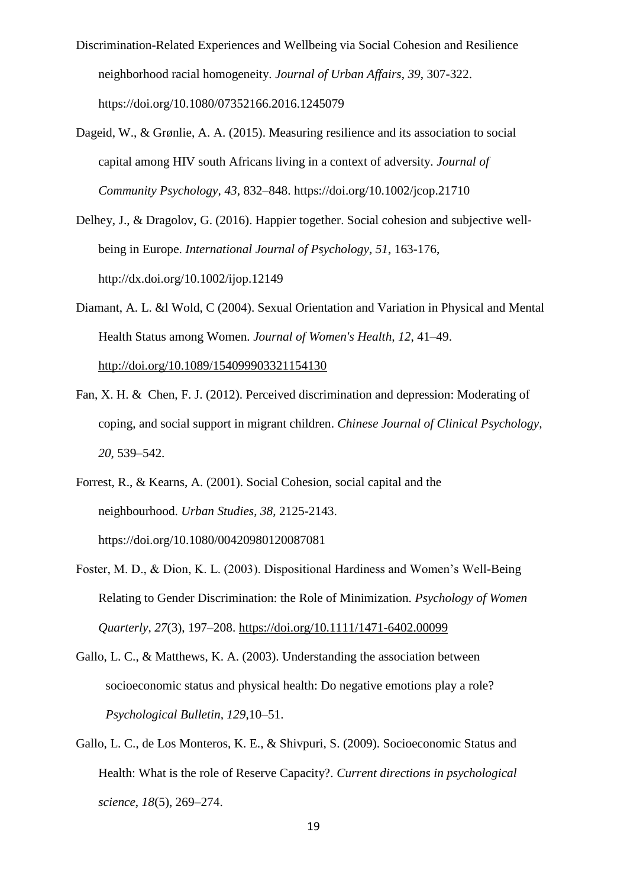- Discrimination-Related Experiences and Wellbeing via Social Cohesion and Resilience neighborhood racial homogeneity. *Journal of Urban Affairs*, *39*, 307-322. https://doi.org/10.1080/07352166.2016.1245079
- Dageid, W., & Grønlie, A. A. (2015). Measuring resilience and its association to social capital among HIV south Africans living in a context of adversity. *Journal of Community Psychology, 43*, 832–848. https://doi.org/10.1002/jcop.21710
- Delhey, J., & Dragolov, G. (2016). Happier together. Social cohesion and subjective wellbeing in Europe. *International Journal of Psychology*, *51*, 163-176, http://dx.doi.org/10.1002/ijop.12149
- Diamant, A. L. &l Wold, C (2004). Sexual Orientation and Variation in Physical and Mental Health Status among Women. *Journal of Women's Health, 12*, 41–49. [http://doi.org/10.1089/154099903321154130](https://doi.org/10.1089/154099903321154130)
- Fan, X. H. & Chen, F. J. (2012). Perceived discrimination and depression: Moderating of coping, and social support in migrant children. *Chinese Journal of Clinical Psychology, 20*, 539–542.
- Forrest, R., & Kearns, A. (2001). Social Cohesion, social capital and the neighbourhood. *Urban Studies*, *38*, 2125-2143. https://doi.org/10.1080/00420980120087081
- Foster, M. D., & Dion, K. L. (2003). Dispositional Hardiness and Women's Well-Being Relating to Gender Discrimination: the Role of Minimization. *Psychology of Women Quarterly*, *27*(3), 197–208. <https://doi.org/10.1111/1471-6402.00099>
- Gallo, L. C., & Matthews, K. A. (2003). Understanding the association between socioeconomic status and physical health: Do negative emotions play a role? *Psychological Bulletin, 129*,10–51.
- Gallo, L. C., de Los Monteros, K. E., & Shivpuri, S. (2009). Socioeconomic Status and Health: What is the role of Reserve Capacity?. *Current directions in psychological science*, *18*(5), 269–274.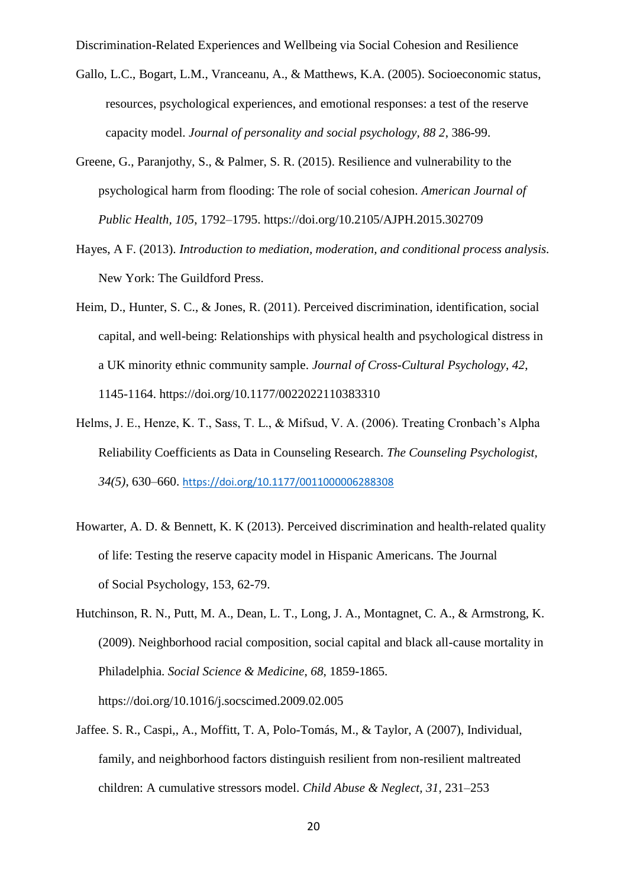- Gallo, L.C., Bogart, L.M., Vranceanu, A., & Matthews, K.A. (2005). Socioeconomic status, resources, psychological experiences, and emotional responses: a test of the reserve capacity model. *Journal of personality and social psychology, 88 2*, 386-99.
- Greene, G., Paranjothy, S., & Palmer, S. R. (2015). Resilience and vulnerability to the psychological harm from flooding: The role of social cohesion. *American Journal of Public Health, 105*, 1792–1795.<https://doi.org/10.2105/AJPH.2015.302709>
- Hayes, A F. (2013). *Introduction to mediation, moderation, and conditional process analysis.* New York: The Guildford Press.
- Heim, D., Hunter, S. C., & Jones, R. (2011). Perceived discrimination, identification, social capital, and well-being: Relationships with physical health and psychological distress in a UK minority ethnic community sample. *Journal of Cross-Cultural Psychology*, *42*, 1145-1164. https://doi.org/10.1177/0022022110383310
- Helms, J. E., Henze, K. T., Sass, T. L., & Mifsud, V. A. (2006). Treating Cronbach's Alpha Reliability Coefficients as Data in Counseling Research. *The Counseling Psychologist, 34(5)*, 630–660. <https://doi.org/10.1177/0011000006288308>
- Howarter, A. D. & Bennett, K. K (2013). Perceived discrimination [and health-related quality](http://web.a.ebscohost.com/ehost/viewarticle/render?data=dGJyMPPp44rp2%2fdV0%2bnjisfk5Ie45PFIr6awTLWk63nn5Kx95uXxjL6nrkewp61Krqe3OLSws0i4p7E4v8OkjPDX7Ivf2fKB7eTnfLunsE%2burbNLta2yPurX7H%2b72%2bw%2b4ti7iPHv5j7y1%2bVVv8SkeeyzsEivqKtLr6yySKumrk%2bk3O2K69fyVeTr6oTy2%2faM&vid=8&sid=3117ddc8-686e-4331-be12-dd24ed037a3c@sessionmgr4007)  [of life: Testing the reserve capacity model in Hispanic Americans.](http://web.a.ebscohost.com/ehost/viewarticle/render?data=dGJyMPPp44rp2%2fdV0%2bnjisfk5Ie45PFIr6awTLWk63nn5Kx95uXxjL6nrkewp61Krqe3OLSws0i4p7E4v8OkjPDX7Ivf2fKB7eTnfLunsE%2burbNLta2yPurX7H%2b72%2bw%2b4ti7iPHv5j7y1%2bVVv8SkeeyzsEivqKtLr6yySKumrk%2bk3O2K69fyVeTr6oTy2%2faM&vid=8&sid=3117ddc8-686e-4331-be12-dd24ed037a3c@sessionmgr4007) The Journal of Social Psychology, 153, 62-79.
- Hutchinson, R. N., Putt, M. A., Dean, L. T., Long, J. A., Montagnet, C. A., & Armstrong, K. (2009). Neighborhood racial composition, social capital and black all-cause mortality in Philadelphia. *Social Science & Medicine*, *68*, 1859-1865. https://doi.org/10.1016/j.socscimed.2009.02.005
- Jaffee. S. R., Caspi,, A., Moffitt, T. A, Polo-Tomás, M., & Taylor, A (2007), Individual, family, and neighborhood factors distinguish resilient from non-resilient maltreated children: A cumulative stressors model. *Child Abuse & Neglect, 31*, 231–253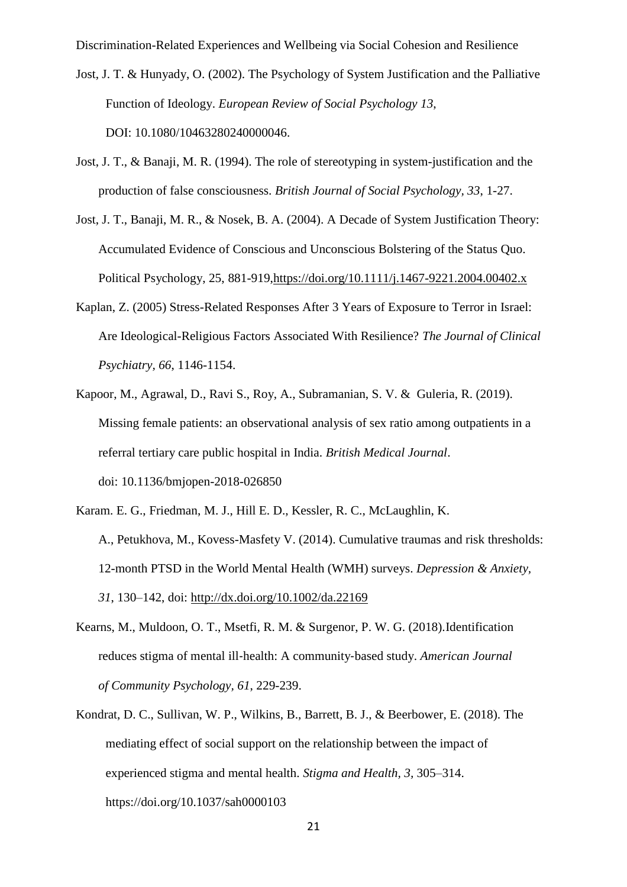- Jost, J. T. & Hunyady, O. (2002). The Psychology of System Justification and the Palliative Function of Ideology. *European Review of Social Psychology 13*, DOI: 10.1080/10463280240000046.
- Jost, J. T., & Banaji, M. R. (1994). The role of stereotyping in system-justification and the production of false consciousness. *British Journal of Social Psychology, 33*, 1-27.
- Jost, J. T., Banaji, M. R., & Nosek, B. A. (2004). A Decade of System Justification Theory: Accumulated Evidence of Conscious and Unconscious Bolstering of the Status Quo. Political Psychology, 25, 881-919[,https://doi.org/10.1111/j.1467-9221.2004.00402.x](https://doi.org/10.1111/j.1467-9221.2004.00402.x)
- Kaplan, Z. (2005) Stress-Related Responses After 3 Years of Exposure to Terror in Israel: Are Ideological-Religious Factors Associated With Resilience? *The Journal of Clinical Psychiatry, 66*, 1146-1154.
- Kapoor, M., Agrawal, D., Ravi S., Roy, A., Subramanian, S. V. & Guleria, R. (2019). Missing female patients: an observational analysis of sex ratio among outpatients in a referral tertiary care public hospital in India. *British Medical Journal*. doi: 10.1136/bmjopen-2018-026850
- Karam. E. G., Friedman, M. J., Hill E. D., Kessler, R. C., McLaughlin, K. A., Petukhova, M., Kovess-Masfety V. (2014). Cumulative traumas and risk thresholds: 12-month PTSD in the World Mental Health (WMH) surveys. *Depression & Anxiety, 31*, 130–142, doi: <http://dx.doi.org/10.1002/da.22169>
- Kearns, M., Muldoon, O. T., Msetfi, R. M. & Surgenor, P. W. G. (2018)[.Identification](http://web.a.ebscohost.com/ehost/viewarticle/render?data=dGJyMPPp44rp2%2fdV0%2bnjisfk5Ie45PFIr6awTLWk63nn5Kx95uXxjL6nrkewp61Krqe3OLSws0i4p7E4v8OkjPDX7Ivf2fKB7eTnfLunsE%2burbNLta2yPurX7H%2b72%2bw%2b4ti7iPHv5j7y1%2bVVv8SkeeyzsEivratNta2xS6umrkmk3O2K69fyVeTr6oTy2%2faM&vid=8&sid=3117ddc8-686e-4331-be12-dd24ed037a3c@sessionmgr4007)  [reduces stigma of mental ill](http://web.a.ebscohost.com/ehost/viewarticle/render?data=dGJyMPPp44rp2%2fdV0%2bnjisfk5Ie45PFIr6awTLWk63nn5Kx95uXxjL6nrkewp61Krqe3OLSws0i4p7E4v8OkjPDX7Ivf2fKB7eTnfLunsE%2burbNLta2yPurX7H%2b72%2bw%2b4ti7iPHv5j7y1%2bVVv8SkeeyzsEivratNta2xS6umrkmk3O2K69fyVeTr6oTy2%2faM&vid=8&sid=3117ddc8-686e-4331-be12-dd24ed037a3c@sessionmgr4007)‐health: A community‐based study. *American Journal of Community Psychology, 61*, 229-239.
- Kondrat, D. C., Sullivan, W. P., Wilkins, B., Barrett, B. J., & Beerbower, E. (2018). The mediating effect of social support on the relationship between the impact of experienced stigma and mental health. *Stigma and Health, 3,* 305–314. <https://doi.org/10.1037/sah0000103>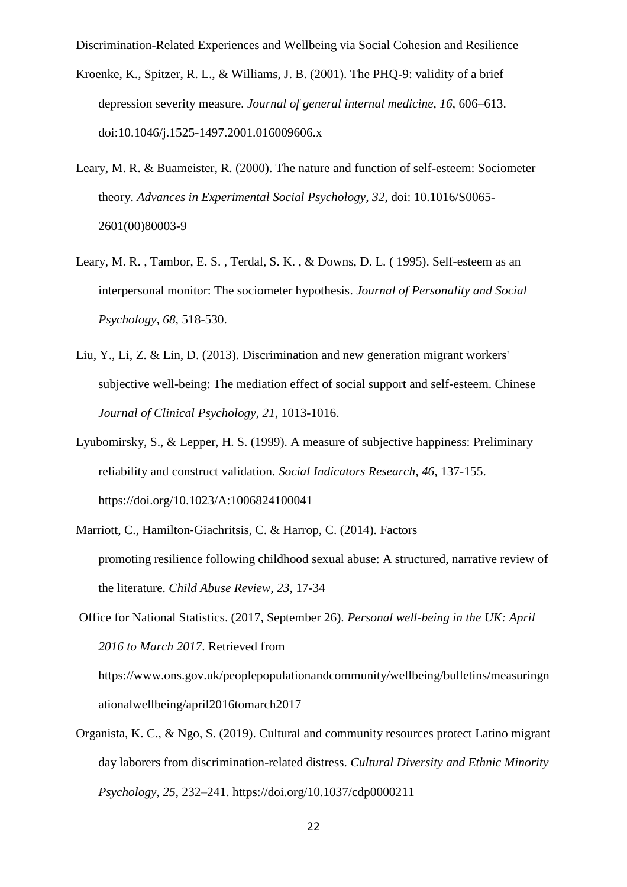- Kroenke, K., Spitzer, R. L., & Williams, J. B. (2001). The PHQ-9: validity of a brief depression severity measure. *Journal of general internal medicine*, *16*, 606–613. doi:10.1046/j.1525-1497.2001.016009606.x
- Leary, M. R. & Buameister, R. (2000). The nature and function of self-esteem: Sociometer theory. *Advances in Experimental Social Psychology, 32*, doi: 10.1016/S0065- 2601(00)80003-9
- Leary, M. R. , Tambor, E. S. , Terdal, S. K. , & Downs, D. L. ( 1995). Self-esteem as an interpersonal monitor: The sociometer hypothesis. *Journal of Personality and Social Psychology, 68*, 518-530.
- [Liu, Y., Li, Z. & Lin, D. \(2013\). Discrimination](http://web.a.ebscohost.com/ehost/viewarticle/render?data=dGJyMPPp44rp2%2fdV0%2bnjisfk5Ie45PFIr6awTLWk63nn5Kx95uXxjL6nrkewp61Krqe3OLSws0i4p7E4v8OkjPDX7Ivf2fKB7eTnfLunsE%2burbNLta2yPurX7H%2b72%2bw%2b4ti7iPHv5j7y1%2bVVv8SkeeyzsEivqqtItaqvTKumsUyk3O2K69fyVeTr6oTy2%2faM&vid=8&sid=3117ddc8-686e-4331-be12-dd24ed037a3c@sessionmgr4007) and new generation migrant workers' [subjective well-being: The](http://web.a.ebscohost.com/ehost/viewarticle/render?data=dGJyMPPp44rp2%2fdV0%2bnjisfk5Ie45PFIr6awTLWk63nn5Kx95uXxjL6nrkewp61Krqe3OLSws0i4p7E4v8OkjPDX7Ivf2fKB7eTnfLunsE%2burbNLta2yPurX7H%2b72%2bw%2b4ti7iPHv5j7y1%2bVVv8SkeeyzsEivqqtItaqvTKumsUyk3O2K69fyVeTr6oTy2%2faM&vid=8&sid=3117ddc8-686e-4331-be12-dd24ed037a3c@sessionmgr4007) mediation effect of social support and self-esteem. Chinese *Journal of Clinical Psychology, 21*, 1013-1016.
- Lyubomirsky, S., & Lepper, H. S. (1999). A measure of subjective happiness: Preliminary reliability and construct validation. *Social Indicators Research*, *46*, 137-155. https://doi.org/10.1023/A:1006824100041
- Marriott, C., Hamilton‐Giachritsis, C. & Harrop, C. (2014). [Factors](http://web.b.ebscohost.com/ehost/viewarticle/render?data=dGJyMPPp44rp2%2fdV0%2bnjisfk5Ie45PFIr6awTLWk63nn5Kx95uXxjL6nrkewp61Krqe3OK%2bwsky4qbc4zsOkjPDX7Ivf2fKB7eTnfLunskuur7VKsqu2PurX7H%2b72%2bw%2b4ti7iPHv5j7y1%2bVVv8SkeeyzsEivqqtItKm1Saumrkuk3O2K69fyVeTr6oTy2%2faM&vid=12&sid=fef19a0e-1b83-486d-9043-fa3a965ef5b6@sessionmgr103)  promoting resilience [following childhood sexual abuse: A structured, narrative review of](http://web.b.ebscohost.com/ehost/viewarticle/render?data=dGJyMPPp44rp2%2fdV0%2bnjisfk5Ie45PFIr6awTLWk63nn5Kx95uXxjL6nrkewp61Krqe3OK%2bwsky4qbc4zsOkjPDX7Ivf2fKB7eTnfLunskuur7VKsqu2PurX7H%2b72%2bw%2b4ti7iPHv5j7y1%2bVVv8SkeeyzsEivqqtItKm1Saumrkuk3O2K69fyVeTr6oTy2%2faM&vid=12&sid=fef19a0e-1b83-486d-9043-fa3a965ef5b6@sessionmgr103)  [the literature.](http://web.b.ebscohost.com/ehost/viewarticle/render?data=dGJyMPPp44rp2%2fdV0%2bnjisfk5Ie45PFIr6awTLWk63nn5Kx95uXxjL6nrkewp61Krqe3OK%2bwsky4qbc4zsOkjPDX7Ivf2fKB7eTnfLunskuur7VKsqu2PurX7H%2b72%2bw%2b4ti7iPHv5j7y1%2bVVv8SkeeyzsEivqqtItKm1Saumrkuk3O2K69fyVeTr6oTy2%2faM&vid=12&sid=fef19a0e-1b83-486d-9043-fa3a965ef5b6@sessionmgr103) *Child Abuse Review, 23*, 17-34

Office for National Statistics. (2017, September 26). *Personal well-being in the UK: April 2016 to March 2017*. Retrieved from [https://www.ons.gov.uk/peoplepopulationandcommunity/wellbeing/bulletins/measuringn](https://www.ons.gov.uk/peoplepopulationandcommunity/wellbeing/bulletins/measuringnationalwellbeing/april2016tomarch2017) [ationalwellbeing/april2016tomarch2017](https://www.ons.gov.uk/peoplepopulationandcommunity/wellbeing/bulletins/measuringnationalwellbeing/april2016tomarch2017)

Organista, K. C., & Ngo, S. (2019). Cultural and community resources protect Latino migrant day laborers from discrimination-related distress. *Cultural Diversity and Ethnic Minority Psychology, 25*, 232–241.<https://doi.org/10.1037/cdp0000211>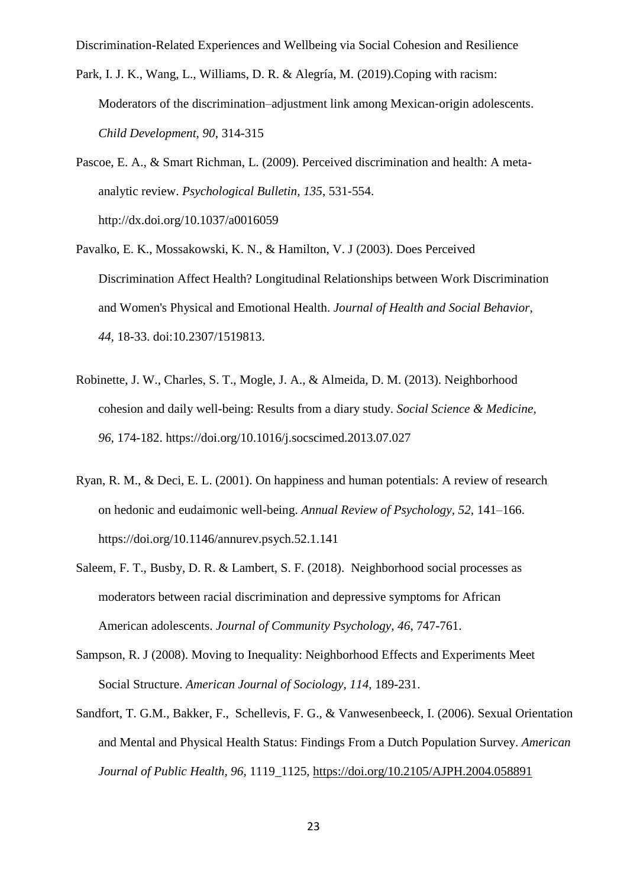- Park, I. J. K., Wang, L., Williams, D. R. & Alegría, M. (2019)[.Coping with racism:](http://web.a.ebscohost.com/ehost/viewarticle/render?data=dGJyMPPp44rp2%2fdV0%2bnjisfk5Ie45PFIr6awTLWk63nn5Kx95uXxjL6nrkewp61Krqe3OLSws0i4p7E4v8OkjPDX7Ivf2fKB7eTnfLunsE%2burbNLta2yPurX7H%2b72%2bw%2b4ti7iPHv5j7y1%2bVVv8SkeeyzsEivr6tIsKa2Tqumrkqk3O2K69fyVeTr6oTy2%2faM&vid=8&sid=3117ddc8-686e-4331-be12-dd24ed037a3c@sessionmgr4007)  Moderators of the [discrimination–adjustment link among Mexican](http://web.a.ebscohost.com/ehost/viewarticle/render?data=dGJyMPPp44rp2%2fdV0%2bnjisfk5Ie45PFIr6awTLWk63nn5Kx95uXxjL6nrkewp61Krqe3OLSws0i4p7E4v8OkjPDX7Ivf2fKB7eTnfLunsE%2burbNLta2yPurX7H%2b72%2bw%2b4ti7iPHv5j7y1%2bVVv8SkeeyzsEivr6tIsKa2Tqumrkqk3O2K69fyVeTr6oTy2%2faM&vid=8&sid=3117ddc8-686e-4331-be12-dd24ed037a3c@sessionmgr4007)-origin adolescents. *Child Development, 90*, 314-315
- Pascoe, E. A., & Smart Richman, L. (2009). Perceived discrimination and health: A metaanalytic review. *Psychological Bulletin, 135*, 531-554. <http://dx.doi.org/10.1037/a0016059>
- Pavalko, E. K., Mossakowski, K. N., & Hamilton, V. J (2003). Does Perceived Discrimination Affect Health? Longitudinal Relationships between Work Discrimination and Women's Physical and Emotional Health. *Journal of Health and Social Behavior, 44,* 18-33. doi:10.2307/1519813.
- Robinette, J. W., Charles, S. T., Mogle, J. A., & Almeida, D. M. (2013). Neighborhood cohesion and daily well-being: Results from a diary study. *Social Science & Medicine, 96,* 174-182. https://doi.org/10.1016/j.socscimed.2013.07.027
- Ryan, R. M., & Deci, E. L. (2001). On happiness and human potentials: A review of research on hedonic and eudaimonic well-being. *Annual Review of Psychology, 52,* 141–166. https://doi.org/10.1146/annurev.psych.52.1.141
- Saleem, F. T., Busby, D. R. & Lambert, S. F. (2018). [Neighborhood](http://web.a.ebscohost.com/ehost/viewarticle/render?data=dGJyMPPp44rp2%2fdV0%2bnjisfk5Ie45PFIr6awTLWk63nn5Kx95uXxjL6nrkewp61Krqe3OLSws0i4p7E4v8OkjPDX7Ivf2fKB7eTnfLunsE%2burbNLta2yPurX7H%2b72%2bw%2b4ti7iPHv5j7y1%2bVVv8SkeeyzsEivrqtJsK2uT6umrkmk3O2K69fyVeTr6oTy2%2faM&vid=16&sid=3117ddc8-686e-4331-be12-dd24ed037a3c@sessionmgr4007) social processes as moderators between racial discrimination [and depressive symptoms for African](http://web.a.ebscohost.com/ehost/viewarticle/render?data=dGJyMPPp44rp2%2fdV0%2bnjisfk5Ie45PFIr6awTLWk63nn5Kx95uXxjL6nrkewp61Krqe3OLSws0i4p7E4v8OkjPDX7Ivf2fKB7eTnfLunsE%2burbNLta2yPurX7H%2b72%2bw%2b4ti7iPHv5j7y1%2bVVv8SkeeyzsEivrqtJsK2uT6umrkmk3O2K69fyVeTr6oTy2%2faM&vid=16&sid=3117ddc8-686e-4331-be12-dd24ed037a3c@sessionmgr4007)  [American adolescents.](http://web.a.ebscohost.com/ehost/viewarticle/render?data=dGJyMPPp44rp2%2fdV0%2bnjisfk5Ie45PFIr6awTLWk63nn5Kx95uXxjL6nrkewp61Krqe3OLSws0i4p7E4v8OkjPDX7Ivf2fKB7eTnfLunsE%2burbNLta2yPurX7H%2b72%2bw%2b4ti7iPHv5j7y1%2bVVv8SkeeyzsEivrqtJsK2uT6umrkmk3O2K69fyVeTr6oTy2%2faM&vid=16&sid=3117ddc8-686e-4331-be12-dd24ed037a3c@sessionmgr4007) *Journal of Community Psychology, 46*, 747-761.
- Sampson, R. J (2008). Moving to Inequality: Neighborhood Effects and Experiments Meet Social Structure. *American Journal of Sociology*, *114*, 189-231.
- Sandfort, T. G.M., Bakker, F., Schellevis, F. G., & Vanwesenbeeck, I. (2006). [Sexual Orientation](https://ajph.aphapublications.org/doi/abs/10.2105/AJPH.2004.058891)  [and Mental and Physical Health Status: Findings From a Dutch Population Survey.](https://ajph.aphapublications.org/doi/abs/10.2105/AJPH.2004.058891) *American Journal of Public Health, 96*, 1119\_1125, <https://doi.org/10.2105/AJPH.2004.058891>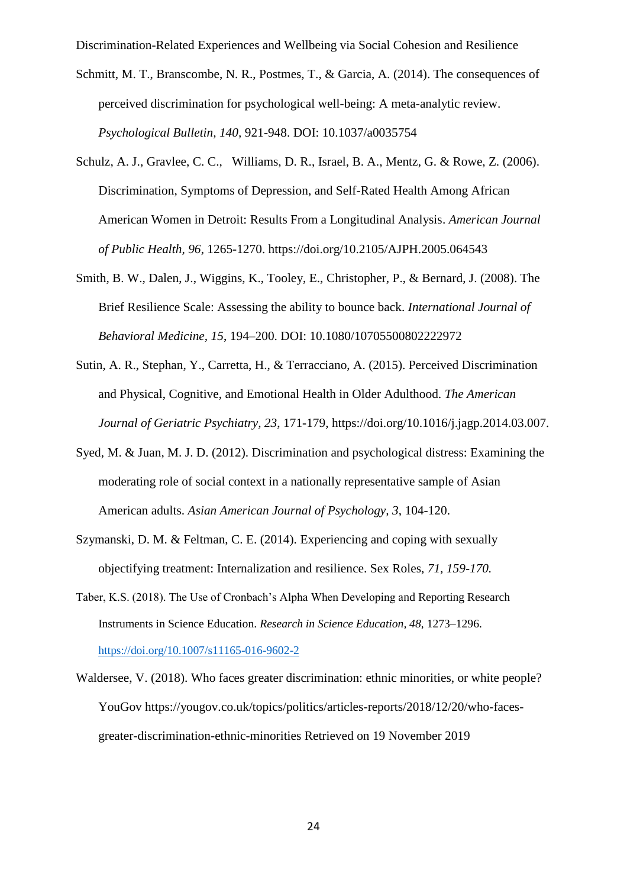- Schmitt, M. T., Branscombe, N. R., Postmes, T., & Garcia, A. (2014). The consequences of perceived discrimination for psychological well-being: A meta-analytic review. *Psychological Bulletin, 140,* 921-948. DOI: 10.1037/a0035754
- Schulz, A. J., Gravlee, C. C., Williams, D. R., Israel, B. A., Mentz, G. & Rowe, Z. (2006). [Discrimination, Symptoms of Depression, and Self-Rated Health Among African](https://ajph.aphapublications.org/doi/abs/10.2105/AJPH.2005.064543)  [American Women in Detroit: Results From a Longitudinal Analysis.](https://ajph.aphapublications.org/doi/abs/10.2105/AJPH.2005.064543) *American Journal of Public Health, 96*, 1265-1270. [https://doi.org/10.2105/AJPH.2005.064543](https://ajph.aphapublications.org/doi/abs/10.2105/AJPH.2005.064543)
- Smith, B. W., Dalen, J., Wiggins, K., Tooley, E., Christopher, P., & Bernard, J. (2008). The Brief Resilience Scale: Assessing the ability to bounce back. *International Journal of Behavioral Medicine, 15*, 194–200. DOI: 10.1080/10705500802222972
- Sutin, A. R., Stephan, Y., Carretta, H., & Terracciano, A. (2015). Perceived Discrimination and Physical, Cognitive, and Emotional Health in Older Adulthood. *The American Journal of Geriatric Psychiatry, 23*, 171-179, https://doi.org/10.1016/j.jagp.2014.03.007.
- Syed, M. & Juan, M. J. D. (2012). Discrimination [and psychological distress: Examining the](http://web.a.ebscohost.com/ehost/viewarticle/render?data=dGJyMPPp44rp2%2fdV0%2bnjisfk5Ie45PFIr6awTLWk63nn5Kx95uXxjL6nrkewp61Krqe3OLSws0i4p7E4v8OkjPDX7Ivf2fKB7eTnfLunsE%2burbNLta2yPurX7H%2b72%2bw%2b4ti7iPHv5j7y1%2bVVv8SkeeyzsEivp6tKr6ywSqumrkmk3O2K69fyVeTr6oTy2%2faM&vid=16&sid=3117ddc8-686e-4331-be12-dd24ed037a3c@sessionmgr4007)  moderating role of social [context in a nationally representative sample of Asian](http://web.a.ebscohost.com/ehost/viewarticle/render?data=dGJyMPPp44rp2%2fdV0%2bnjisfk5Ie45PFIr6awTLWk63nn5Kx95uXxjL6nrkewp61Krqe3OLSws0i4p7E4v8OkjPDX7Ivf2fKB7eTnfLunsE%2burbNLta2yPurX7H%2b72%2bw%2b4ti7iPHv5j7y1%2bVVv8SkeeyzsEivp6tKr6ywSqumrkmk3O2K69fyVeTr6oTy2%2faM&vid=16&sid=3117ddc8-686e-4331-be12-dd24ed037a3c@sessionmgr4007)  [American adults.](http://web.a.ebscohost.com/ehost/viewarticle/render?data=dGJyMPPp44rp2%2fdV0%2bnjisfk5Ie45PFIr6awTLWk63nn5Kx95uXxjL6nrkewp61Krqe3OLSws0i4p7E4v8OkjPDX7Ivf2fKB7eTnfLunsE%2burbNLta2yPurX7H%2b72%2bw%2b4ti7iPHv5j7y1%2bVVv8SkeeyzsEivp6tKr6ywSqumrkmk3O2K69fyVeTr6oTy2%2faM&vid=16&sid=3117ddc8-686e-4331-be12-dd24ed037a3c@sessionmgr4007) *Asian American Journal of Psychology, 3*, 104-120.
- Szymanski, D. M. & Feltman, C. E. (2014). [Experiencing and coping with sexually](http://web.a.ebscohost.com/ehost/viewarticle/render?data=dGJyMPPp44rp2%2fdV0%2bnjisfk5Ie45PFIr6awTLWk63nn5Kx95uXxjL6nrkewp61Krqe3OLSws0i4p7E4v8OkjPDX7Ivf2fKB7eTnfLunsE%2burbNLta2yPurX7H%2b72%2bw%2b4ti7iPHv5j7y1%2bVVv8SkeeyzsEivqqtLsK2yUaumrkmk3O2K69fyVeTr6oTy2%2faM&vid=5&sid=3117ddc8-686e-4331-be12-dd24ed037a3c@sessionmgr4007)  [objectifying treatment: Internalization and](http://web.a.ebscohost.com/ehost/viewarticle/render?data=dGJyMPPp44rp2%2fdV0%2bnjisfk5Ie45PFIr6awTLWk63nn5Kx95uXxjL6nrkewp61Krqe3OLSws0i4p7E4v8OkjPDX7Ivf2fKB7eTnfLunsE%2burbNLta2yPurX7H%2b72%2bw%2b4ti7iPHv5j7y1%2bVVv8SkeeyzsEivqqtLsK2yUaumrkmk3O2K69fyVeTr6oTy2%2faM&vid=5&sid=3117ddc8-686e-4331-be12-dd24ed037a3c@sessionmgr4007) resilience. Sex Roles, *71, 159-170.*
- Taber, K.S. (2018). The Use of Cronbach's Alpha When Developing and Reporting Research Instruments in Science Education. *Research in Science Education, 48*, 1273–1296. <https://doi.org/10.1007/s11165-016-9602-2>
- [Waldersee,](https://yougov.co.uk/people/victoria.waldersee/) V. (2018). Who faces greater discrimination: ethnic minorities, or white people? YouGov [https://yougov.co.uk/topics/politics/articles-reports/2018/12/20/who-faces](https://yougov.co.uk/topics/politics/articles-reports/2018/12/20/who-faces-greater-discrimination-ethnic-minorities)[greater-discrimination-ethnic-minorities](https://yougov.co.uk/topics/politics/articles-reports/2018/12/20/who-faces-greater-discrimination-ethnic-minorities) Retrieved on 19 November 2019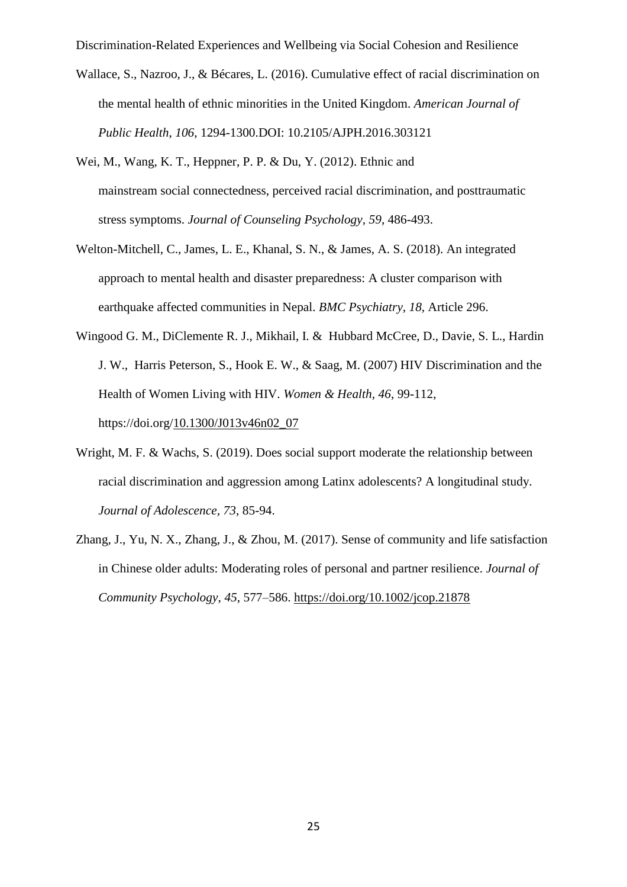- Wallace, S., Nazroo, J., & Bécares, L. (2016). Cumulative effect of racial discrimination on the mental health of ethnic minorities in the United Kingdom. *American Journal of Public Health*, *106*, 1294-1300.DOI: 10.2105/AJPH.2016.303121
- Wei, M., Wang, K. T., Heppner, P. P. & Du, Y. (2012). Ethnic and mainstream social connectedness, perceived racial discrimination, and posttraumatic stress symptoms. *Journal of Counseling Psychology, 59*, 486-493.
- Welton-Mitchell, C., James, L. E., Khanal, S. N., & James, A. S. (2018). An integrated approach to mental health and disaster preparedness: A cluster comparison with earthquake affected communities in Nepal. *BMC Psychiatry, 18,* Article 296.
- Wingood G. M., DiClemente R. J., Mikhail, I. & Hubbard McCree, D., Davie, S. L., Hardin J. W., Harris Peterson, S., Hook E. W., & Saag, M. (2007) HIV Discrimination and the Health of Women Living with HIV. *Women & Health, 46*, 99-112, https://doi.org[/10.1300/J013v46n02\\_07](https://doi.org/10.1300/J013v46n02_07)
- [Wright, M. F. & Wachs, S. \(2019\). Does](http://web.a.ebscohost.com/ehost/viewarticle/render?data=dGJyMPPp44rp2%2fdV0%2bnjisfk5Ie45PFIr6awTLWk63nn5Kx95uXxjL6nrkewp61Krqe3OLSws0i4p7E4v8OkjPDX7Ivf2fKB7eTnfLunsE%2burbNLta2yPurX7H%2b72%2bw%2b4ti7iPHv5j7y1%2bVVv8SkeeyzsEivr6tKtqyyUaumr0ik3O2K69fyVeTr6oTy2%2faM&vid=8&sid=3117ddc8-686e-4331-be12-dd24ed037a3c@sessionmgr4007) social support moderate the relationship between racial discrimination [and aggression among Latinx adolescents? A longitudinal study.](http://web.a.ebscohost.com/ehost/viewarticle/render?data=dGJyMPPp44rp2%2fdV0%2bnjisfk5Ie45PFIr6awTLWk63nn5Kx95uXxjL6nrkewp61Krqe3OLSws0i4p7E4v8OkjPDX7Ivf2fKB7eTnfLunsE%2burbNLta2yPurX7H%2b72%2bw%2b4ti7iPHv5j7y1%2bVVv8SkeeyzsEivr6tKtqyyUaumr0ik3O2K69fyVeTr6oTy2%2faM&vid=8&sid=3117ddc8-686e-4331-be12-dd24ed037a3c@sessionmgr4007) *Journal of Adolescence, 73*, 85-94.
- Zhang, J., Yu, N. X., Zhang, J., & Zhou, M. (2017). Sense of community and life satisfaction in Chinese older adults: Moderating roles of personal and partner resilience. *Journal of Community Psychology*, *45*, 577–586.<https://doi.org/10.1002/jcop.21878>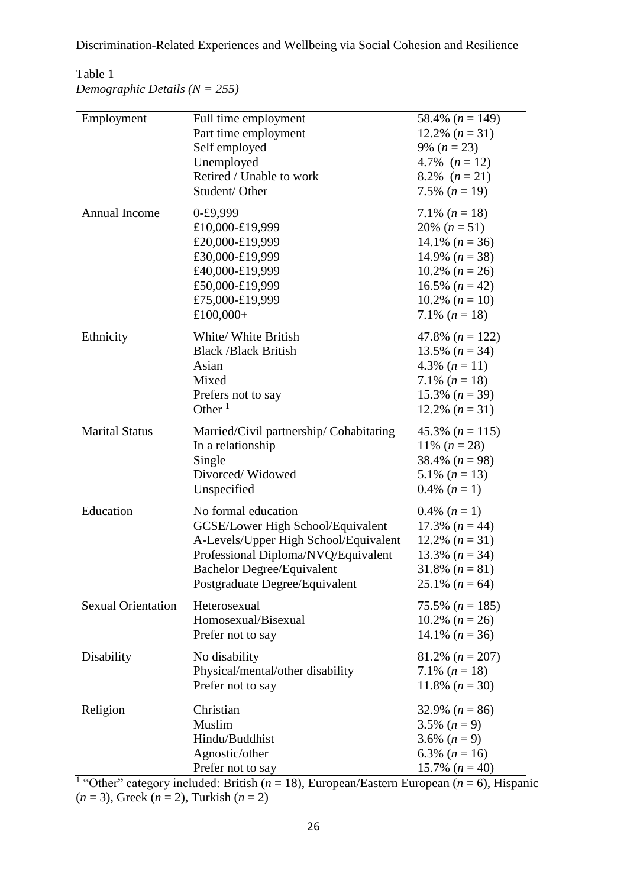# Table 1

*Demographic Details (N = 255)*

| Employment                | Full time employment                    | 58.4% $(n = 149)$ |  |
|---------------------------|-----------------------------------------|-------------------|--|
|                           | Part time employment                    | 12.2% $(n = 31)$  |  |
|                           | Self employed                           | 9% $(n = 23)$     |  |
|                           | Unemployed                              | 4.7% $(n = 12)$   |  |
|                           | Retired / Unable to work                | 8.2% $(n=21)$     |  |
|                           | Student/Other                           | 7.5% $(n = 19)$   |  |
| <b>Annual Income</b>      | $0 - £9,999$                            | 7.1% $(n = 18)$   |  |
|                           | £10,000-£19,999                         | 20% $(n = 51)$    |  |
|                           | £20,000-£19,999                         | 14.1% $(n = 36)$  |  |
|                           | £30,000-£19,999                         | 14.9% $(n = 38)$  |  |
|                           | £40,000-£19,999                         | 10.2% $(n = 26)$  |  |
|                           | £50,000-£19,999                         | 16.5% $(n = 42)$  |  |
|                           | £75,000-£19,999                         | 10.2% $(n = 10)$  |  |
|                           | £100,000+                               | 7.1% $(n = 18)$   |  |
| Ethnicity                 | White/ White British                    | 47.8% $(n = 122)$ |  |
|                           | <b>Black /Black British</b>             | 13.5% $(n = 34)$  |  |
|                           | Asian                                   | 4.3% $(n = 11)$   |  |
|                           | Mixed                                   | 7.1% $(n = 18)$   |  |
|                           | Prefers not to say                      | 15.3% $(n = 39)$  |  |
|                           | Other $1$                               | 12.2% $(n = 31)$  |  |
| <b>Marital Status</b>     | Married/Civil partnership/ Cohabitating | 45.3% $(n = 115)$ |  |
|                           | In a relationship                       | 11% $(n = 28)$    |  |
|                           | Single                                  | 38.4% $(n = 98)$  |  |
|                           | Divorced/Widowed                        | 5.1% $(n = 13)$   |  |
|                           | Unspecified                             | 0.4% $(n=1)$      |  |
| Education                 | No formal education                     | 0.4% $(n=1)$      |  |
|                           | GCSE/Lower High School/Equivalent       | 17.3% $(n = 44)$  |  |
|                           | A-Levels/Upper High School/Equivalent   | 12.2% $(n=31)$    |  |
|                           | Professional Diploma/NVQ/Equivalent     | 13.3% $(n = 34)$  |  |
|                           | <b>Bachelor Degree/Equivalent</b>       | 31.8% $(n = 81)$  |  |
|                           | Postgraduate Degree/Equivalent          | 25.1% $(n = 64)$  |  |
| <b>Sexual Orientation</b> | Heterosexual                            | 75.5% $(n = 185)$ |  |
|                           | Homosexual/Bisexual                     | 10.2% $(n = 26)$  |  |
|                           | Prefer not to say                       | 14.1% $(n = 36)$  |  |
| Disability                | No disability                           | 81.2% $(n = 207)$ |  |
|                           | Physical/mental/other disability        | 7.1% $(n = 18)$   |  |
|                           | Prefer not to say                       | 11.8% $(n = 30)$  |  |
| Religion                  | Christian                               | 32.9% $(n = 86)$  |  |
|                           | Muslim                                  | 3.5% $(n=9)$      |  |
|                           | Hindu/Buddhist                          | 3.6% $(n=9)$      |  |
|                           | Agnostic/other                          | 6.3% $(n = 16)$   |  |
|                           | Prefer not to say                       | 15.7% $(n = 40)$  |  |
|                           |                                         |                   |  |

<sup>1</sup> "Other" category included: British ( $n = 18$ ), European/Eastern European ( $n = 6$ ), Hispanic  $(n = 3)$ , Greek  $(n = 2)$ , Turkish  $(n = 2)$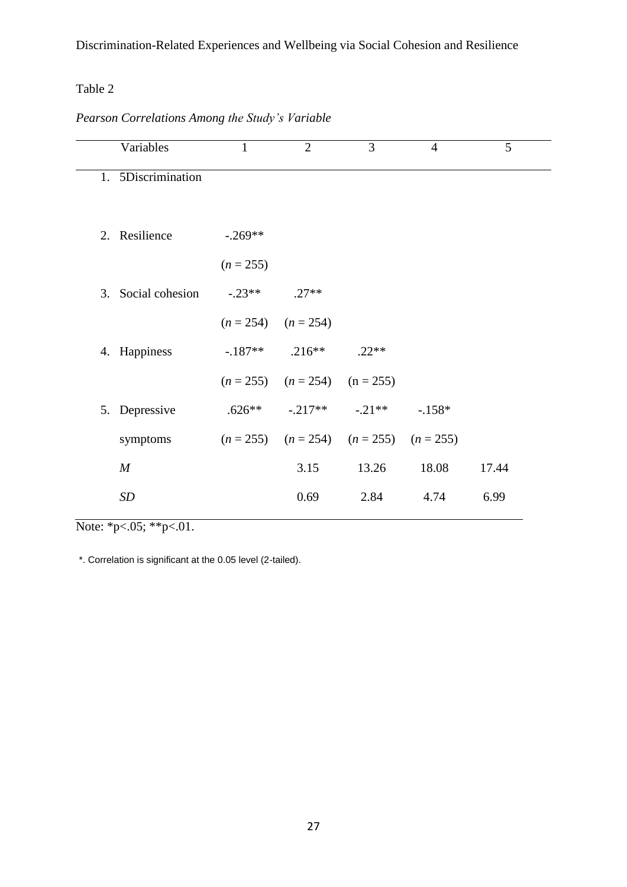# Table 2

# *Pearson Correlations Among the Study's Variable*

| Variables          | 1                       | $\overline{2}$                      | 3                                               | $\overline{4}$ | 5     |
|--------------------|-------------------------|-------------------------------------|-------------------------------------------------|----------------|-------|
| 1. 5Discrimination |                         |                                     |                                                 |                |       |
|                    |                         |                                     |                                                 |                |       |
| 2. Resilience      | $-.269**$               |                                     |                                                 |                |       |
|                    | $(n = 255)$             |                                     |                                                 |                |       |
| 3. Social cohesion | $-0.23**$               | $.27**$                             |                                                 |                |       |
|                    | $(n = 254)$ $(n = 254)$ |                                     |                                                 |                |       |
| 4. Happiness       |                         | $-187**$ .216**                     | $.22**$                                         |                |       |
|                    |                         | $(n = 255)$ $(n = 254)$ $(n = 255)$ |                                                 |                |       |
| 5. Depressive      |                         |                                     | $.626***$ $-.217**$ $-.21***$                   | $-.158*$       |       |
| symptoms           |                         |                                     | $(n = 255)$ $(n = 254)$ $(n = 255)$ $(n = 255)$ |                |       |
| $\boldsymbol{M}$   |                         | 3.15                                | 13.26                                           | 18.08          | 17.44 |
| SD                 |                         | 0.69                                | 2.84                                            | 4.74           | 6.99  |
|                    |                         |                                     |                                                 |                |       |

Note: \*p<.05; \*\*p<.01.

\*. Correlation is significant at the 0.05 level (2-tailed).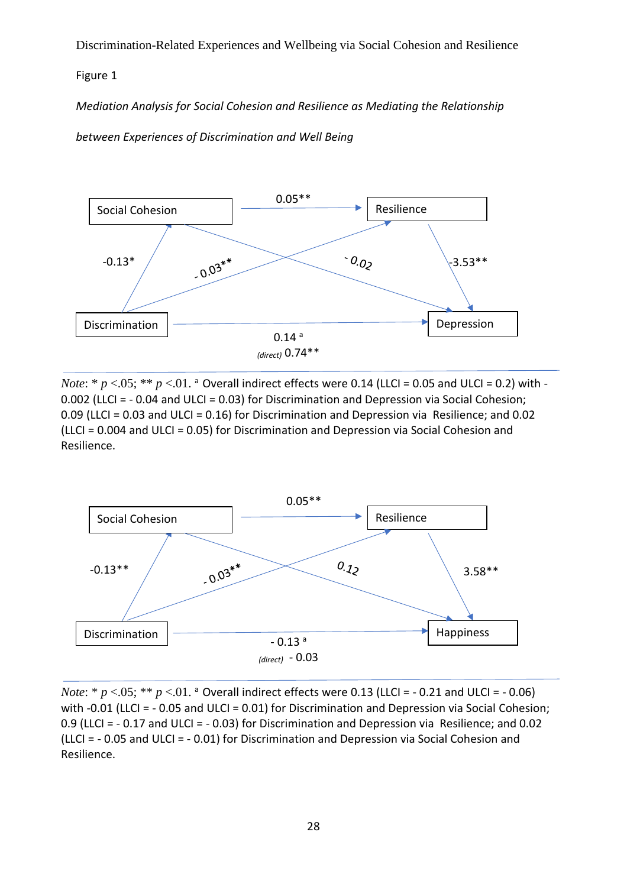## Figure 1

*Mediation Analysis for Social Cohesion and Resilience as Mediating the Relationship* 

*between Experiences of Discrimination and Well Being*



*Note*:  $*$   $p$  <.05;  $**$   $p$  <.01. a Overall indirect effects were 0.14 (LLCI = 0.05 and ULCI = 0.2) with -0.002 (LLCI = - 0.04 and ULCI = 0.03) for Discrimination and Depression via Social Cohesion; 0.09 (LLCI = 0.03 and ULCI = 0.16) for Discrimination and Depression via Resilience; and 0.02 (LLCI = 0.004 and ULCI = 0.05) for Discrimination and Depression via Social Cohesion and Resilience.



*Note*:  $* p < .05; ** p < .01.$  a Overall indirect effects were 0.13 (LLCI =  $-$  0.21 and ULCI =  $-$  0.06) with -0.01 (LLCI = - 0.05 and ULCI = 0.01) for Discrimination and Depression via Social Cohesion; 0.9 (LLCI = - 0.17 and ULCI = - 0.03) for Discrimination and Depression via Resilience; and 0.02 (LLCI = - 0.05 and ULCI = - 0.01) for Discrimination and Depression via Social Cohesion and Resilience.